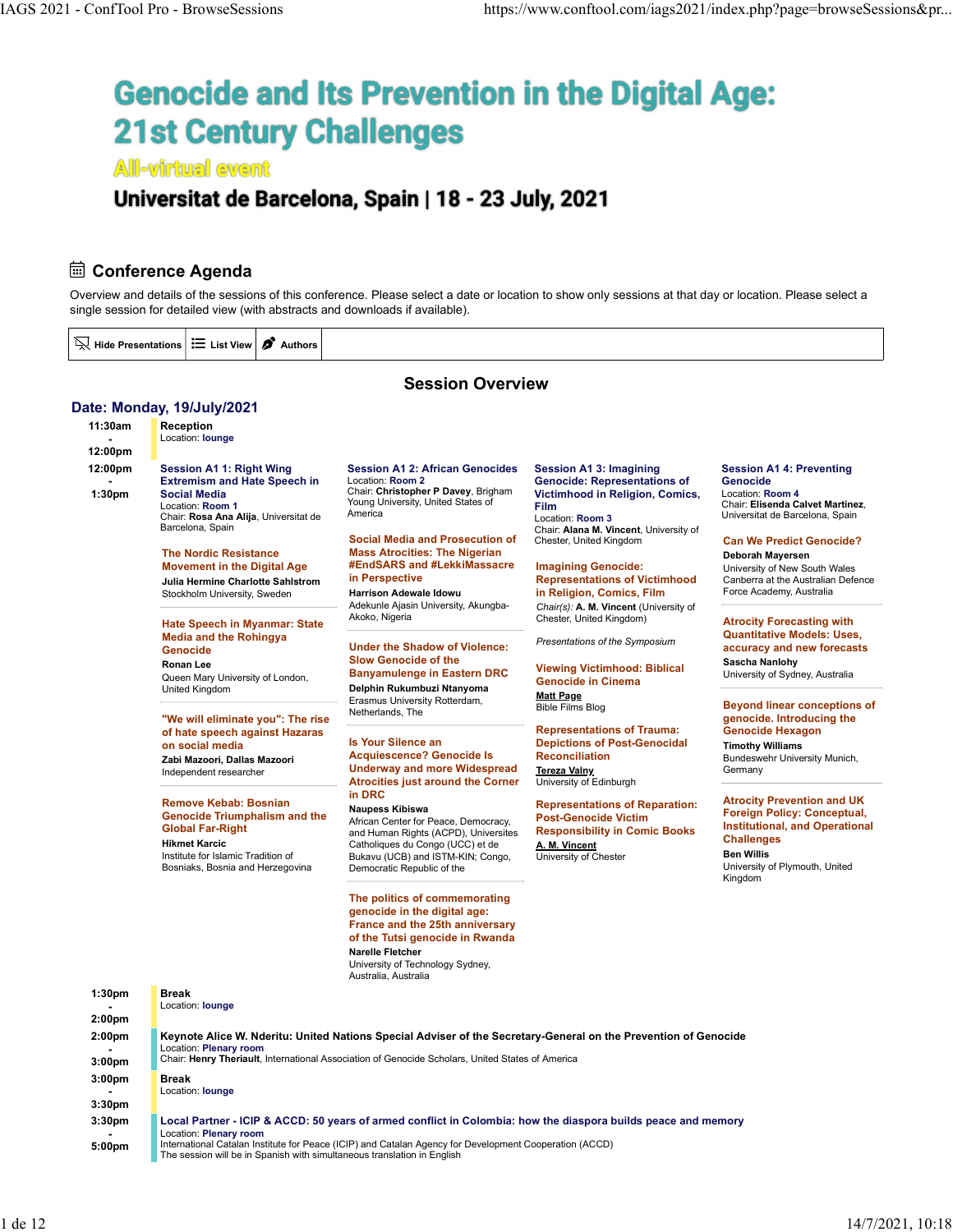# IAGS 2021 - ConfTool Pro - BrowseSessions https://www.conftool.com/iags2021/index.php?page=browseSessions&pr...<br> **Genocide and Its Prevention in the Digital Age: 21st Century Challenges**

**All-virtual event** 

### Universitat de Barcelona, Spain | 18 - 23 July, 2021

### **Edge Conference Agenda**

Date: Monday, 19/July/2021

Overview and details of the sessions of this conference. Please select a date or location to show only sessions at that day or location. Please select a single session for detailed view (with abstracts and downloads if available).

 $\overline{\mathbb{N}}$  Hide Presentations  $\left|\mathbf{\Xi}\right|$  List View  $\boldsymbol{\beta}$  Authors

### Session Overview

### 11:30am Reception - Location: lounge **Location:** lounge **Location:** lounge **Location:** lounge **Location:** lounge **Location:** lounge **Location:** lounge **Location:** lounge **Location:** lounge **Location:** lounge **Location:** lounge **Location:** l 12:00pm 12:00pm Session A1 1: Right Wing Session A1 2: African Genocides - **Extremism and Hate Speech in** Location: Room 2 **CERT CONCILIBATE: Extremism and Hate Speech in** Location: Room 2 1:30pm Social Media Chair: Christopher P Davey, Brigham Location: Room 1 **Example 2** Young University, United States of **Film** Location: Room T<br>Chair: Rosa Ana Alija, Universitat de America Barcelona, Spain The Nordic Resistance Mass Atrocities: The Nigerian Movement in the Digital Age **#EndSARS and #LekkiMassacre** Imagining Genocide: University of Ne Julia Hermine Charlotte Sahlstrom in Perspective **Exerces Communist Conferentations of Victimhood** Canberra at the Australian Defence Stockholm University, Sweden **Harrison Adewale Idowu** Hate Speech in Myanmar: State Media and the Rohingya Genocide **Contract Contract Contract Contract Contract Contract Contract Contract Contract Contract Contract Contract Contract Contract Contract Contract Contract Contract Contract Contract Contract Contract Contract Contr** Ronan Lee Slow Genocide of the Queen Mary University of London,<br>United Kingdom United Kingdom **Delphin Rukumbuzi Ntanyoma Mangkatan Sepanjara Propinsi Nasali Propinsi Amerika** Propinsi Propinsi T "We will eliminate you": The rise of hate speech against Hazaras on social media by the social media by the social media by the social media by the social media by the social  $\sim$  15 Your Silence and Silence and Silence and Silence and Silence and Silence and Silence and Silence and Sil Zabi Mazoori, Dallas Mazoori Independent researcher Remove Kebab: Bosnian **Remove Kebab: Bosnian** Naupess Kibiswa Genocide Triumphalism and the Global Far-Right Hikmet Karcic **Examples 19** Catholiques du Congo (UCC) et de **A. M. Vincent Catholiques du Congo (UCC) et de CAL** Institute for Islamic Tradition of Bosniaks, Bosnia and Herzegovina Location: Room 2 Genocide: Representations of America **Exercía de Santonion:** Room 3 **Contractes Entrances** Universitat de Barcelona, Spain Social Media and Prosecution of Chester, United Kingdom **Harrison Adewale Idowu in Religion, Comics, Film** Force Academy, Australia Adekunle Ajasin University, Akungba-Akoko, Nigeria **Chester, United Kingdom**) **Chester, United Kingdom**) **Atrocity Forecast** Banyamulenge in Eastern DRC Erasmus University Rotterdam, Netherlands, The Is Your Silence an Depictions of Post-Genocidal Acquiescence? Genocide Is **Reconciliation** Underway and more Widespread Atrocities just around the Corner<br>in DRC in DRC Naupess Kibiswa Representations of Reparation: African Center for Peace, Democracy, and Human Rights (ACPD), Universites Bukavu (UCB) and ISTM-KIN; Congo, Democratic Republic of the **Example 2018** Contract Contract Contract Contract Contract Contract Contract Contract Contract Contract Contract Contract Contract Contract Contract Contract Contract Contract Contract Contract The politics of commemorating genocide in the digital age: France and the 25th anniversary of the Tutsi genocide in Rwanda Narelle Fletcher University of Technology Sydney, Australia, Australia Session A1 3: Imagining Session A1 4: Preventing Victimhood in Religion, Comics, Film Chair: Elisenda Calvet Martinez, Chair: Alana M. Vincent, University of Chester, United Kingdom **Can We Predict Genocide?** Imagining Genocide: Chair(s): A. M. Vincent (University of Presentations of the Symposium Viewing Victimhood: Biblical Genocide in Cinema **Matt Page**<br>Bible Films Blog **Bible Films Blog Community Community Beyond linear conceptions of** Representations of Trauma: Reconciliation **Bundeswehr University Munich,** Tereza Valny University of Edinburgh Post-Genocide Victim Responsibility in Comic Books A. M. Vincent University of Chester Genocide Location: Room 4 Universitat de Barcelona, Spain Deborah Mayersen University of New South Wales Canberra at the Australian Defence Force Academy, Australia Atrocity Forecasting with Quantitative Models: Uses, accuracy and new forecasts Sascha Nanlohy University of Sydney, Australia genocide. Introducing the Genocide Hexagon Timothy Williams **Germany** Atrocity Prevention and UK Foreign Policy: Conceptual, Institutional, and Operational **Challenges** Ben Willis University of Plymouth, United Kingdom 1:30pm - Location: lounge **Location:** lounge **Location:** lounge **Location:** lounge **Location:** lounge **Location:** lounge **Location:** lounge **Location:** lounge **Location:** lounge **Location:** lounge **Location:** lounge **Location:** l 2:00pm Break 2:00pm Keynote Alice W. Nderitu: United Nations Special Adviser of the Secretary-General on the Prevention of Genocide **Example 21 Exercise Chair: Plenary room**<br> **Chair: Henry Theriault,** 3:00pm Chair: Henry Theriault, International Association of Genocide Scholars, United States of Americ Location: Plenary room<br>Chair: **Henry Theriault**, International Association of Genocide Scholars, United States of America 3:00pm - Location: lounge **Location:** lounge **Location:** lounge **Location:** lounge **Location:** lounge **Location:** lounge **Location:** lounge **Location:** lounge **Location:** lounge **Location:** lounge **Location:** lounge **Location:** l 3:30pm Break 3:30pm Local Partner - ICIP & ACCD: 50 years of armed conflict in Colombia: how the diaspora builds peace and memory **Example 20** Location: Plenary room **According 20 According 20 According 20 According 20 According 20 According 20 According 20 According 20 According 20 According 20 According 20 According 20 According 20 According 20 Acc** 5:00pm International Catalan Institute for Peace (ICIP) and Catalan Agency for Development Cooperation (ACCD) The session will be in Spanish with simultaneous translation in English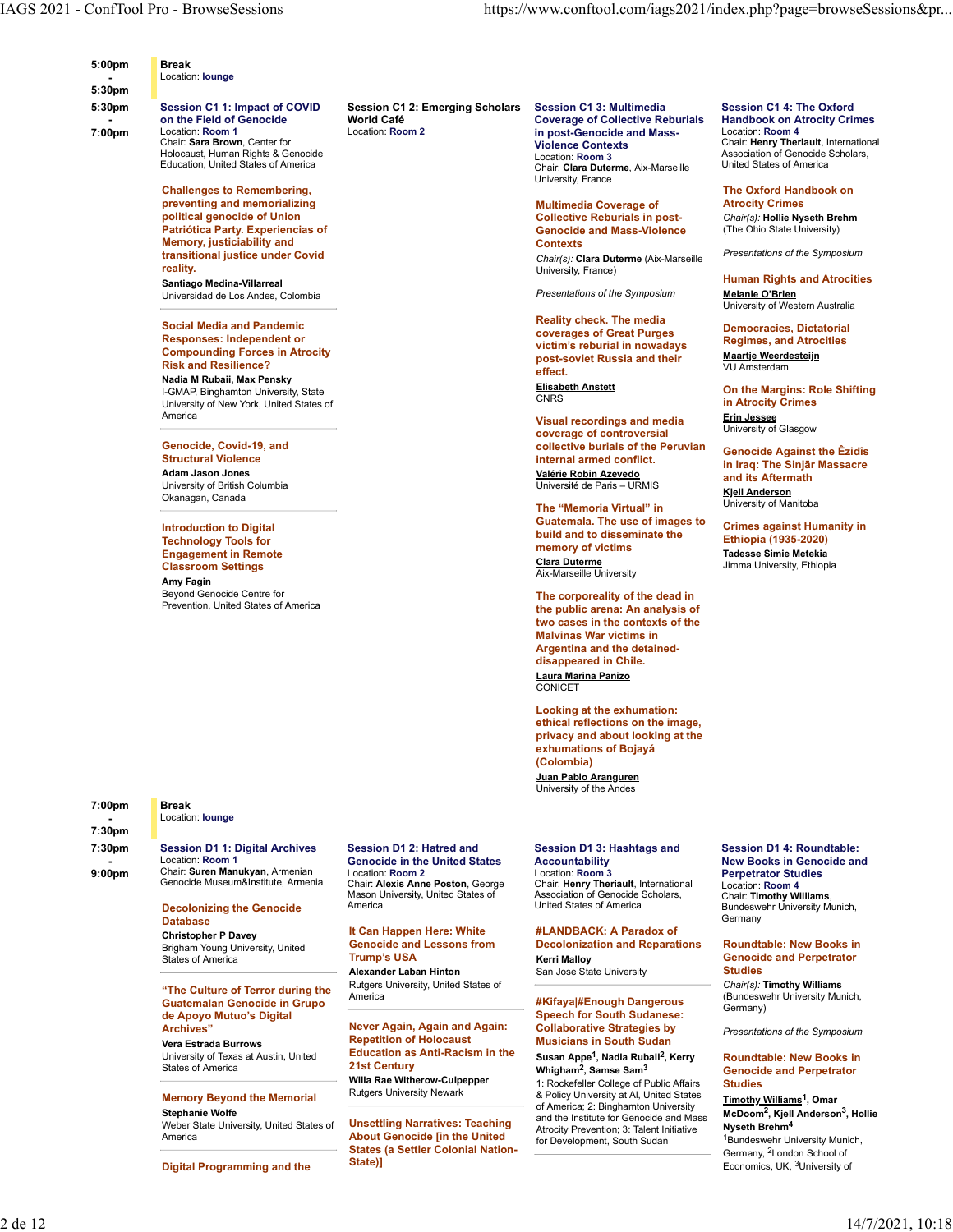| 5:00pm                            | <b>Break</b>                          |                                             |  |
|-----------------------------------|---------------------------------------|---------------------------------------------|--|
| <b>Contract Contract Contract</b> | Location: lounge                      |                                             |  |
| 5:30pm                            |                                       |                                             |  |
| <b>E.O.</b>                       | <b>Constant Of Astronomia COOMING</b> | Bessies 84.8; Exception Beliefert - Bessies |  |

7:00pm Location: Room 1 Chair: Sara Brown, Center for

> Challenges to Remembering, preventing and memorializing political genocide of Union Patriótica Party. Experiencias of Memory, justiciability and transitional justice under Covid reality. Santiago Medina-Villarreal Universidad de Los Andes, Colombia

Social Media and Pandemic Responses: Independent or Compounding Forces in Atrocity Risk and Resilience?

Nadia M Rubaii, Max Pensky I-GMAP, Binghamton University, State<br>
CNRS University of New York, United States of America

### Genocide, Covid-19, and

Structural Violence Adam Jason Jones University of British Columbia Okanagan, Canada

Introduction to Digital Technology Tools for Engagement in Remote<br>
Classroom Settings<br>
Classroom Settings Classroom Settings Amy Fagin Beyond Genocide Centre for Prevention, United States of America

### 7:00pm - Location: lounge **Location:** lounge **Location:** lounge **Location:** lounge **Location:** lounge **Location:** lounge **Location:** lounge **Location:** lounge **Location:** lounge **Location:** lounge **Location:** lounge **Location:** l 7:30pm Break

7:30pm Session D1 1: Digital Archives Location: Room 1<br>9:00pm Chair: Suren Man 9:00pm Chair: Suren Manukyan, Armenian Location: Room 1 **Contact Contact Contact Contact Contact Contact Contact Contact Contact Contact Contact Contact Contact Contact Contact Contact Contact Contact Contact Contact Contact Contact Contact Contact Contact Cont** 

Genocide Museum&Institute, Armenia Chair: Alexis Anne Poston, George

Mason University, United States of

Rutgers University, United States of

Repetition of Holocaust Education as Anti-Racism in the

Willa Rae Witherow-Culpepper

Unsettling Narratives: Teaching States (a Settler Colonial Nation-

Trump's USA

State)]

### Decolonizing the Genocide **America Database**

encourburence and Lessons from a Decolonizal<br>Brigham Young University, United **Genocide and Lessons from Becoloniza**<br>States of America **Called Bright Control Control Control** Kerri Malloy States of America

### "The Culture of Terror during the Rutgers Guatemalan Genocide in Grupo de Apoyo Mutuo's Digital Archives" Never Again, Again and Again:

Vera Estrada Burrows University of Texas at Austin, United**Sum Education as**<br>States of America States of America

### **Memory Beyond the Memorial Rutgers University Newark**

Stephanie Wolfe Weber State University, United States of<br>America

Digital Programming and the

5:30pm Session C1 1: Impact of COVID Session C1 2: Emerging Scholars - on the Field of Genocide World Café Coverage of Collective Reburials Handbook on Atrocity Crimes

Holocaust, Human Rights & Genocide Education, United States of America Location: Room 2 in post-Genocide and Mass-Violence Contexts Chair: Henry Theriault, International Location: Room 3 Association of Genocide Scholars, United States of America Chair: Clara Duterme, Aix-Marseille University, France

> Multimedia Coverage of Collective Reburials in post-Genocide and Mass-Violence **Contexts**<br>Chair(a): Clara Dutarna (Aiv Maraailla Presentations of the Symposium Chair(s): Clara Duterme (Aix-Marseille University, France)

Presentations of the Symposium

Reality check. The media coverages of Great Purges victim's reburial in nowadays post-soviet Russia and their effect. Elisabeth Anstett

Visual recordings and media coverage of controversial collective burials of the Peruvian internal armed conflict.

Valérie Robin Azevedo Université de Paris – URMIS

The "Memoria Virtual" in Guatemala. The use of images to build and to disseminate the memory of victims Clara Duterme Jimma University, Ethiopia Aix-Marseille University

The corporeality of the dead in the public arena: An analysis of two cases in the contexts of the Malvinas War victims in Argentina and the detaineddisappeared in Chile. Laura Marina Panizo **CONICET CONICET** 

Looking at the exhumation: ethical reflections on the image, privacy and about looking at the exhumations of Bojayá (Colombia) Juan Pablo Aranguren

University of the Andes

### Session D1 2: Hatred and Session D1 3: Hashtags and Location: Room 2 Location: Room 3

Chair: Alexis Anne Poston, George Chair: Henry Theriault, International Location: Room 4 **United States of America** Association of Genocide Scholars, United States of America Bundeswehr University Munich,

Christopher P Davey **Democration Here: White** The Muslim Here: White Happen Here: White Happen Here: White Happen Here: No. 1997 Genocide and Lessons from Decolonization and Reparations **Alexander Laban Hinton** San Jose State University **Studies** #LANDBACK: A Paradox of Kerri Malloy Genocide and Perpetrator

San Jose State University

### Speech for South Sudanese:<br>Collaborative Strategies by Collaborative Strategies by Presentations of the Symposium Musicians in South Sudan

Whigham<sup>2</sup>, Samse Sam<sup>3</sup> Susan Appe<sup>1</sup>, Nadia Rubaii<sup>2</sup>, Kerry Whigham2 , Samse Sam3 Genocide and Perpetrator

America **About Genocide [in the United** The Charles Controlling Controlling Controlling Controlling The Charles of The Charles Control of the Charles Control of the Charles Control of the Charles Control of the Charles Con Rutgers University Newark **8.** Policy University at Al, United States **Timethy Williams1** Omar 1: Rockefeller College of Public Affairs Studies of America; 2: Binghamton University and the Institute for Genocide and Mass Atrocity Prevention; 3: Talent Initiative for Development, South Sudan

Session C1 3: Multimedia Session C1 4: The Oxford Handbook on Atrocity Crimes Location: Room 4

### The Oxford Handbook on Atrocity Crimes

Chair(s): Hollie Nyseth Brehm (The Ohio State University)

Human Rights and Atrocities Melanie O'Brien University of Western Australia

Democracies, Dictatorial Regimes, and Atrocities Maartje Weerdesteijn VU Amsterdam

CNRS in Atrocity Crimes On the Margins: Role Shifting Erin Jessee

University of Glasgow

Genocide Against the Êzidîs in Iraq: The Sinjār Massacre and its Aftermath Kjell Anderson University of Manitoba

Crimes against Humanity in Ethiopia (1935-2020) Tadesse Simie Metekia

Accountability New Books in Genocide and Location: Room 3 Perpetrator Studies Session D1 4: Roundtable: Location: Room 4 Chair: Timothy Williams, **Germany** 

### Roundtable: New Books in **Studies Studies Studies**

America #Kifaya|#Enough Dangerous Chair(s): Timothy Williams (Bundeswehr University Munich, Germany)

### Roundtable: New Books in **Studies Studies**

Timothy Williams<sup>1</sup>, Omar McDoom2 , Kjell Anderson3 , Hollie Nyseth Brehm4 <sup>1</sup>Bundeswehr University Munich, Germany, 2London School of Economics, UK, 3University of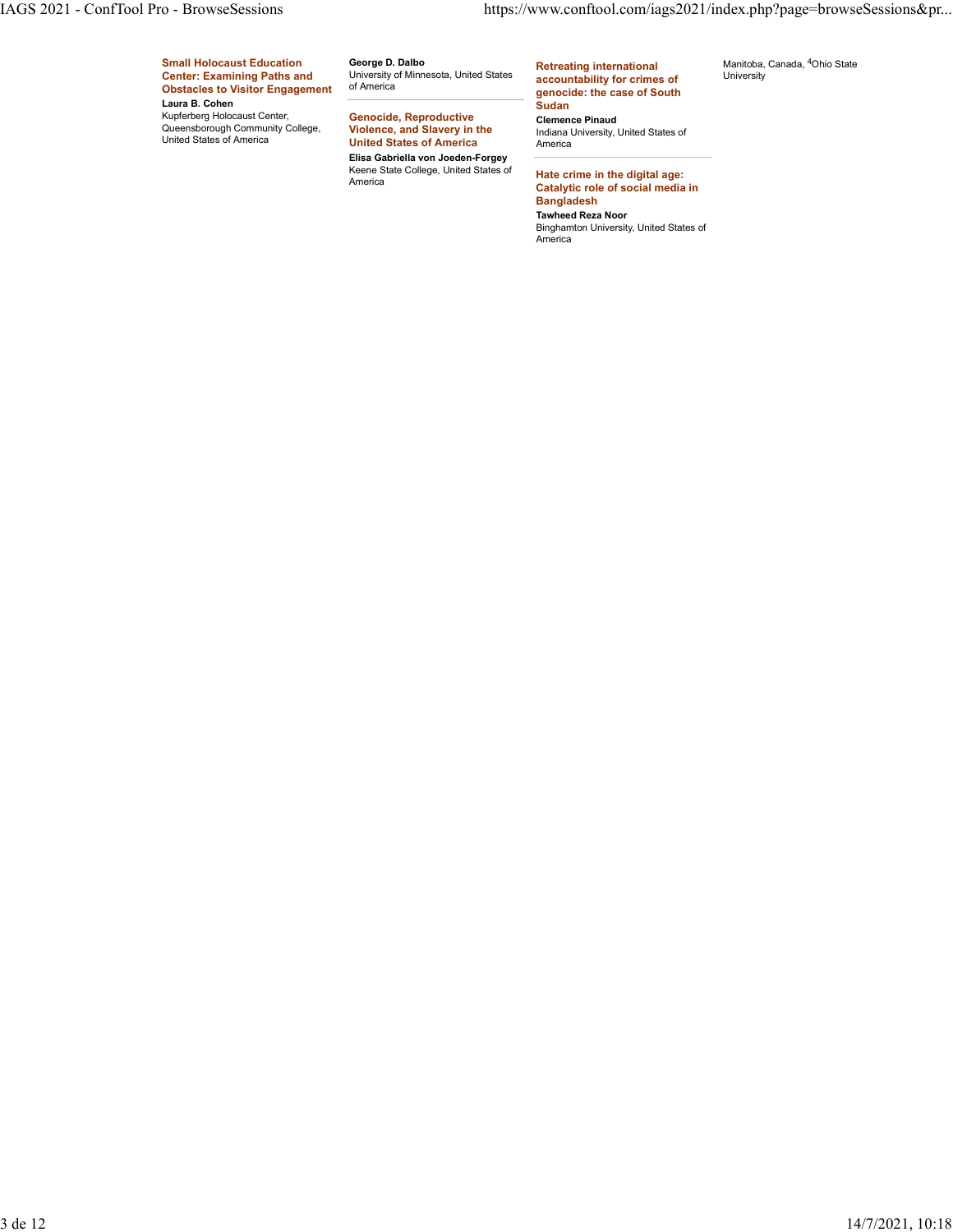# Small Holocaust Education George D. Dalbo **Contains the Section Contains** int Center: Examining Paths and University of Minnesota, United States accountability for Obstacles to Visitor Engagement of America Laura B. Cohen IAGS 2021 - ConfTool Pro - BrowseSessions buttps://www.conftool.com/iags2021/index.php?page=browseSessions&pr...<br>
Small Holocaust Education<br>
Center: Examining Paths and<br>
Obstacles to Visitor Engagement of America<br>
Laura B.

George D. Dalbo University of Minnesota, United States accountability for crimes of University

Kupferberg Holocaust Center, **Genocide, Reproductive College (Community College, Community College, Community College, Community College, Community College, Community College, Community College, Community College, Communit** Genocide, Reproductive<br>Violence, and Slavery in the **Violence, and Slavery in the letting the lindiana University, United States of** United States of America Elisa Gabriella von Joeden-Forgey Keene State College, United States of **Hate crime in the digital**<br>America **Containst Containing Containing the Containing of Second Im** 

of America genocide: the case of South Retreating international accountability for crimes of Sudan

Clemence Pinaud America

Hate crime in the digital age: Catalytic role of social media in Bangladesh Tawheed Reza Noor Binghamton University, United States of America

Manitoba, Canada, 4Ohio State University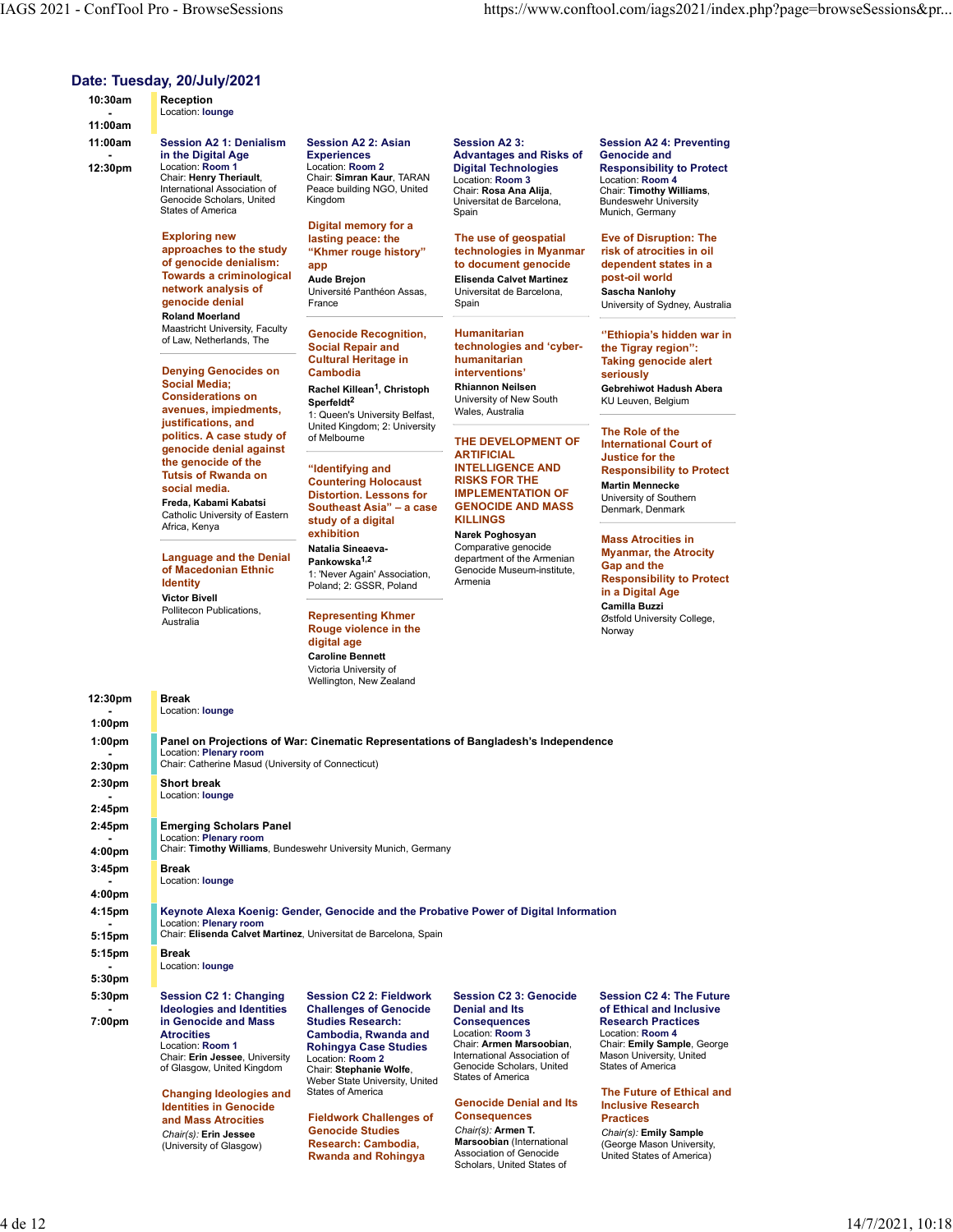### Date: Tuesday, 20/July/2021

|                                        | IAGS 2021 - ConfTool Pro - BrowseSessions                                                                                                                                                              |                                                                                                                                                            |                                                                                                                                                                       | https://www.conftool.com/iags2021/index.php?page=browseSessions≺                                                                                                                |  |
|----------------------------------------|--------------------------------------------------------------------------------------------------------------------------------------------------------------------------------------------------------|------------------------------------------------------------------------------------------------------------------------------------------------------------|-----------------------------------------------------------------------------------------------------------------------------------------------------------------------|---------------------------------------------------------------------------------------------------------------------------------------------------------------------------------|--|
| 10:30am<br>$\blacksquare$              | Date: Tuesday, 20/July/2021<br>Reception<br>Location: <b>lounge</b>                                                                                                                                    |                                                                                                                                                            |                                                                                                                                                                       |                                                                                                                                                                                 |  |
| 11:00am<br>11:00am<br>12:30pm          | <b>Session A2 1: Denialism</b><br>in the Digital Age<br>Location: Room 1                                                                                                                               | <b>Session A2 2: Asian</b><br><b>Experiences</b><br>Location: Room 2                                                                                       | <b>Session A23:</b><br><b>Advantages and Risks of</b><br><b>Digital Technologies</b>                                                                                  | <b>Session A2 4: Preventing</b><br><b>Genocide and</b><br><b>Responsibility to Protect</b>                                                                                      |  |
|                                        | Chair: Henry Theriault,<br>International Association of<br>Genocide Scholars, United<br><b>States of America</b>                                                                                       | Chair: Simran Kaur, TARAN<br>Peace building NGO, United<br>Kingdom<br>Digital memory for a                                                                 | Location: Room 3<br>Chair: Rosa Ana Alija,<br>Universitat de Barcelona,<br>Spain                                                                                      | Location: Room 4<br>Chair: Timothy Williams,<br><b>Bundeswehr University</b><br>Munich, Germany                                                                                 |  |
|                                        | <b>Exploring new</b><br>approaches to the study<br>of genocide denialism:<br>Towards a criminological<br>network analysis of<br>genocide denial                                                        | lasting peace: the<br>"Khmer rouge history"<br>app<br><b>Aude Brejon</b><br>Université Panthéon Assas,<br>France                                           | The use of geospatial<br>technologies in Myanmar<br>to document genocide<br><b>Elisenda Calvet Martinez</b><br>Universitat de Barcelona.<br>Spain                     | <b>Eve of Disruption: The</b><br>risk of atrocities in oil<br>dependent states in a<br>post-oil world<br>Sascha Nanlohy<br>University of Sydney, Australia                      |  |
|                                        | <b>Roland Moerland</b><br>Maastricht University, Faculty<br>of Law, Netherlands, The<br><b>Denying Genocides on</b>                                                                                    | <b>Genocide Recognition,</b><br><b>Social Repair and</b><br><b>Cultural Heritage in</b>                                                                    | Humanitarian<br>technologies and 'cyber-<br>humanitarian                                                                                                              | "Ethiopia's hidden war in<br>the Tigray region":<br><b>Taking genocide alert</b>                                                                                                |  |
|                                        | <b>Social Media;</b><br><b>Considerations on</b><br>avenues, impiedments,<br>justifications, and                                                                                                       | Cambodia<br>Rachel Killean <sup>1</sup> , Christoph<br>Sperfeldt <sup>2</sup><br>1: Queen's University Belfast,<br>United Kingdom; 2: University           | interventions'<br><b>Rhiannon Neilsen</b><br>University of New South<br>Wales, Australia                                                                              | seriously<br>Gebrehiwot Hadush Abera<br>KU Leuven, Belgium                                                                                                                      |  |
|                                        | politics. A case study of<br>genocide denial against<br>the genocide of the<br><b>Tutsis of Rwanda on</b><br>social media.<br>Freda, Kabami Kabatsi<br>Catholic University of Eastern<br>Africa, Kenya | of Melbourne<br>"Identifying and<br><b>Countering Holocaust</b><br><b>Distortion. Lessons for</b><br>Southeast Asia" - a case<br>study of a digital        | THE DEVELOPMENT OF<br><b>ARTIFICIAL</b><br><b>INTELLIGENCE AND</b><br><b>RISKS FOR THE</b><br><b>IMPLEMENTATION OF</b><br><b>GENOCIDE AND MASS</b><br><b>KILLINGS</b> | The Role of the<br><b>International Court of</b><br>Justice for the<br><b>Responsibility to Protect</b><br><b>Martin Mennecke</b><br>University of Southern<br>Denmark, Denmark |  |
|                                        | <b>Language and the Denial</b><br>of Macedonian Ethnic<br><b>Identity</b><br><b>Victor Bivell</b>                                                                                                      | exhibition<br>Natalia Sineaeva-<br>Pankowska <sup>1,2</sup><br>1: 'Never Again' Association,<br>Poland; 2: GSSR, Poland                                    | Narek Poghosyan<br>Comparative genocide<br>department of the Armenian<br>Genocide Museum-institute,<br>Armenia                                                        | <b>Mass Atrocities in</b><br><b>Myanmar, the Atrocity</b><br>Gap and the<br><b>Responsibility to Protect</b><br>in a Digital Age<br>Camilla Buzzi                               |  |
|                                        | Pollitecon Publications,<br>Australia                                                                                                                                                                  | <b>Representing Khmer</b><br>Rouge violence in the<br>digital age<br><b>Caroline Bennett</b><br>Victoria University of<br>Wellington, New Zealand          |                                                                                                                                                                       | Østfold University College,<br>Norway                                                                                                                                           |  |
| 12:30pm                                | <b>Break</b><br>Location: lounge                                                                                                                                                                       |                                                                                                                                                            |                                                                                                                                                                       |                                                                                                                                                                                 |  |
| 1:00 <sub>pm</sub><br>1:00pm<br>2:30pm | Location: Plenary room<br>Chair: Catherine Masud (University of Connecticut)                                                                                                                           | Panel on Projections of War: Cinematic Representations of Bangladesh's Independence                                                                        |                                                                                                                                                                       |                                                                                                                                                                                 |  |
| 2:30pm<br>2:45pm                       | <b>Short break</b><br>Location: <b>lounge</b>                                                                                                                                                          |                                                                                                                                                            |                                                                                                                                                                       |                                                                                                                                                                                 |  |
| 2:45pm<br>4:00pm                       | <b>Emerging Scholars Panel</b><br>Location: Plenary room                                                                                                                                               | Chair: Timothy Williams, Bundeswehr University Munich, Germany                                                                                             |                                                                                                                                                                       |                                                                                                                                                                                 |  |
| 3:45pm                                 | <b>Break</b><br>Location: lounge                                                                                                                                                                       |                                                                                                                                                            |                                                                                                                                                                       |                                                                                                                                                                                 |  |
| 4:00pm<br>4:15pm                       | Location: Plenary room                                                                                                                                                                                 | Keynote Alexa Koenig: Gender, Genocide and the Probative Power of Digital Information<br>Chair: Elisenda Calvet Martinez, Universitat de Barcelona, Spain  |                                                                                                                                                                       |                                                                                                                                                                                 |  |
| 5:15pm<br>5:15pm                       | <b>Break</b><br>Location: lounge                                                                                                                                                                       |                                                                                                                                                            |                                                                                                                                                                       |                                                                                                                                                                                 |  |
| 5:30pm<br>5:30pm<br>7:00pm             | Session C2 1: Changing<br><b>Ideologies and Identities</b><br>in Genocide and Mass                                                                                                                     | <b>Session C2 2: Fieldwork</b><br><b>Challenges of Genocide</b><br><b>Studies Research:</b>                                                                | <b>Session C2 3: Genocide</b><br>Denial and Its<br><b>Consequences</b>                                                                                                | <b>Session C2 4: The Future</b><br>of Ethical and Inclusive<br><b>Research Practices</b>                                                                                        |  |
|                                        | <b>Atrocities</b><br>Location: Room 1<br>Chair: Erin Jessee, University<br>of Glasgow, United Kingdom                                                                                                  | Cambodia, Rwanda and<br><b>Rohingya Case Studies</b><br>Location: Room 2<br>Chair: Stephanie Wolfe,<br>Weber State University, United<br>States of America | Location: Room 3<br>Chair: Armen Marsoobian,<br>International Association of<br>Genocide Scholars, United<br>States of America                                        | Location: Room 4<br>Chair: Emily Sample, George<br>Mason University, United<br><b>States of America</b><br>The Future of Ethical and                                            |  |
|                                        | <b>Changing Ideologies and</b><br><b>Identities in Genocide</b><br>and Mass Atrocities<br>Chair(s): Erin Jessee<br>(University of Glasgow)                                                             | <b>Fieldwork Challenges of</b><br><b>Genocide Studies</b><br>Research: Cambodia,<br><b>Rwanda and Rohingya</b>                                             | <b>Genocide Denial and Its</b><br><b>Consequences</b><br>Chair(s): Armen T.<br>Marsoobian (International<br>Association of Genocide                                   | <b>Inclusive Research</b><br><b>Practices</b><br>Chair(s): Emily Sample<br>(George Mason University,                                                                            |  |

**Rwanda and Rohingya** Association of Genocide United States of Americ

Scholars, United States of

4 de 12 14/7/2021, 10:18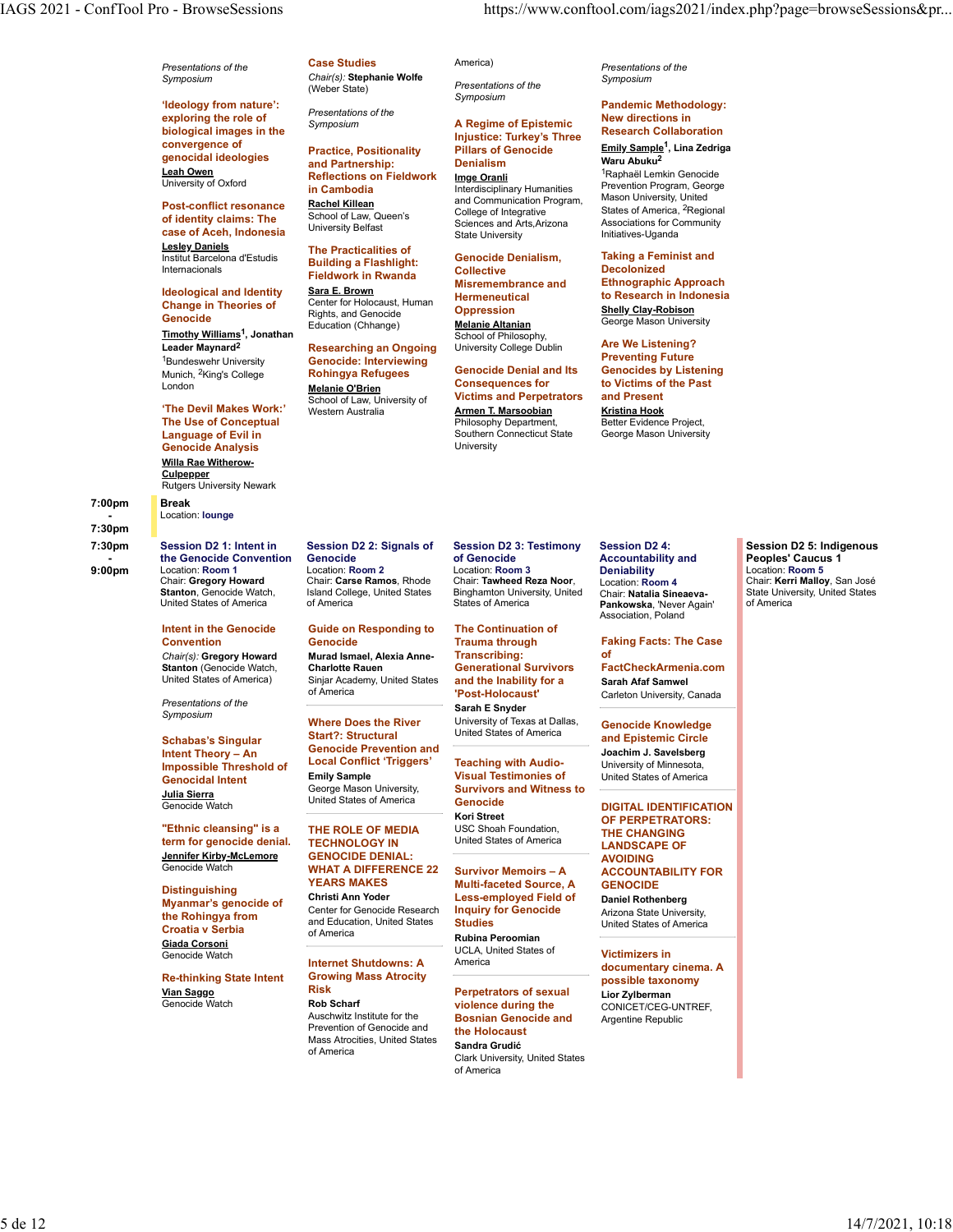'Ideology from nature': exploring the role of *Presentation*<br>Symposium biological images in the convergence of University of Oxford<br> **Example 1 in Cambodia** 

Post-conflict resonance Rachel Killean **case of Aceh, Indonesia** University Beliast Case of Aceh, Indonesia Lesley Daniels<br>
The Practicalities of Institut Barcelona d'Estudis

**IDEOWOR IN EVALUATE ACT MISTEER MISTEERING AND REAL PROPERTY**<br>Internativeland Identity Sara E. Brown Change in Theories of

Munich, <sup>2</sup>King's College **Rohingya Refugees Genocide Denial and its Genocides by Lis** 

**The Devil Makes Work:'** Western Australia The Use of Conceptual Genocide Analysis Willa Rae Witherow-**Culpepper**<br>Rutgers University Newark

7:00pm - Location: lounge **Location:** lounge **Location:** lounge **Location:** lounge **Location:** lounge **Location:** lounge **Location:** lounge **Location:** lounge **Location:** lounge **Location:** lounge **Location:** lounge **Location:** l

7:30pm

9:00pm Location: Room 1 Chair: Gregory Howard<br>Stanton, Genocide Watch, United States of America

**Stanton (Genocide Watch, Charlotte Rauen**<br>
United States of America) Siniar Academy I

Presentations of the<br>Symposium

Schabas's Singular Intent Theory – An **Impossible Threshold of LOCAL CONTIF**<br>Connecidal Intent Emily Sample Genocidal Intent <u>Julia Sierra</u><br>Genocide Watch Munited States of America<br>Kori Street Kori Street

"Ethnic cleansing" is a term for genocide denial. TECHNOLOGY IN Jennifer Kirby-McLemore

Myanmar's genocide of **Croatia v Serbia** dia dia Lucca Giada Corsoni

Re-thinking State Intent Grov<br>Vian Sagge Vian Saggo Risk Perpetrators of sexual

**Presentations of the Case Studies** America) Case Studies

Presentations of the

convergence of the Practice, Positionality Pillars of Genocide<br>genocidal ideologies the and Partnership: The Denialism Leah Owen (Reflections on Fieldwork Img<u>e Oranli</u> Maphaël Lemkin Genocid (Reflections on Fieldwork Imge Oranli Ma of identity claims: The School of Law, Queen's College of Integrative College of Sciences of Associations is a class of the Sciences of Associations is a second of Law Queen's Practice, Positionality and Partnership: **in Cambodia Interdisciplinary Humanities** Prevention Program, George Rachel Killean **and Communication Program,** Mason University, United University Belfast

Symposium

Imge Oranli

College of Integrative Sciences and Arts,Arizona

Genocide Denialism,

University College Dublin

Victims and Perpetrators Philosophy Department,

Hermeneutical

University

Injustice: Turkey's Three

Internacionals **Example 19 Second Collective**<br>
Fieldwork in Rwanda **Collective Ethnomysis Are Building a Flashlight:** Genocide Sara E. Brown

Genocide Education (Chhange) Genociae<br>Timothy Williams<sup>1</sup>, Jonathan Education (Chhange) Melanie Altanian , Jonathan School of Philosophy, Leader Maynard<sup>2</sup> **Researching an Ongoing** University College Dublin **Are We Listening?** <sup>1</sup>Bundeswehr University **Genocide: Interviewing entity of the Contract of Preventing Future** Center for Holocaust, Human Fremmeneutic<br>Rights and Genocide **Oppression** Rights, and Genocide

London **Melanie O'Brien Consequences for to Victims of the** School of Law, University of

# 7:30pm Session D2 1: Intent in Session D2 2: Signals of

Break

### Intent in the Genocide Guide on Responding to The Continuation of

Chair(s): Gregory Howard Murad Ismael, Alexia Anne-United States of America) Sinjar Academy, United States and the Inability for a Sarah Afaf Samwel

> Start?: Structural Genocide Prevention and Local Conflict 'Triggers' George Mason University,

Genocide Watch **WHAT A DIFFERENCE 22 Survivor Memoirs - A ACCOUNTABILITY FO Distinguishing WEARS MAKES**<br>Christi Ann Yoder **Infigurer 19 Series Center for Genocide Research Inquiry for Genocide**<br> **Center Company of Company And Education, United States Studies** THE ROLE OF MEDIA TECHNOLOGY IN United States of America **LANDSCAPE OF THE CHILIAN CONSTRUST** GENOCIDE DENIAL: YEARS MAKES Gast Multi-faceted Source, A GENOCIDE And the Multi-faceted Source, A Christi Ann Yoder Less-employed Field of Center for Genocide Research and Education, United States

### UCLA, U<br>**Internet Shutdowns: A** America Internet Shutdowns: A America documentary cinema. A Growing Mass Atrocity

**Vian Saggo**<br>Genocide Watch **Rob Scharf**<br>Auschwitz Institute for the Auschwitz Institute for the **Bosnian Genocide and** Argentine Republic Prevention of Genocide and Mass Atrocities, United States of America<br>Clark University, United States<br>
Clark University, United States

- the Genocide Convention Genocide **Convention** Convention Convention Convention of Genocide Session D2 1: Intent in Session D2 2: Signals of Session D2 3: Testimony Session D2 4: Session D2 5: Indigen Location: Room 1 Location: Room 2 Chair: Gregory Howard Chair: Carse Ramos, Rhode Chair: Tawheed Reza Noor, Location: Room 4 Genocide of Genocide Accountabi<br>
Location: Room 2 Location: Room 3 Deniability Island College, United States Binghamton University, United Chair: Natalia Sineaeva- State University, United State States of America Location: Room 3 Chair: Tawheed Reza Noor, Location: Room 4 States of America **Pankowska**, 'Never Again' **Constructs** of America

Convention Genocide Symposium<br>
Where Does the River University of Texas at Dallas, Genocide Knowledge **Generational Survivors** of America **Called Transform of America** Carleton Univ The Continuation of Trauma through Faking Facts: The Case Transcribing: Generational Survivors FactCheckArmenia.com and the Inability for a Sarah E Snyder United States of America

Julia Sierra<br>Conseide Webb **Music Conseilers** United States of America **Genocide Genocide DIGITAL IDENTIFIC** Visual Testimonies of Teaching with Audio-**Visual Testimonies of Community Channel States of America** Survivors and Witness to Genocide DIGITAL IDENTIFICATION **Kori Street CORPERTRATORS:** USC Shoah Foundation, United States of America

of America Rubina Peroomian **Inquiry for Genocide** Arizona State University, **Studies Example 3** United States of America **Containers Example 2** Interventional Containers and Containers and Containers and Containers and Containers and Containers and Containers and Containers and Containers and UCLA, United States of

violence during the

the Holocaust Sandra Grudić of America

Symposium Chair(s): Stephanie Wolfe (Weber State) Presentations of the America) **Example 2** Presentations of the contract the contract of the contract of the contract of the contract of the contract of the contract of the contract of the contract of the contract of the contract of the contrac Symposium

### Symposium **A Regime of Epistemic New directions in the Symposium** Pandemic Methodology: New directions in Research Collaboration

Pillars of Genocide Emily Sample<sup>1</sup>, Lina Zedriga Denialism Waru Abuku2 State University Initiatives-Uganda <sup>1</sup>Raphaël Lemkin Genocide Prevention Program, George Mason University, United States of America, 2Regional Associations for Community

Collective Decolonized Misremembrance and Ethnographic Approach Oppression Shelly Clay-Robison Melanie Altanian George Mason University Taking a Feminist and to Research in Indonesia

**Language of Evil in Example 20 Connecticut State** Search Connecticut State Search Connecticut State Search Connecticut State Search Search State Search State Search State Search State Search State Search State State S Western Australia Armen T. Marsoobian Genocide Denial and Its Genocides by Listening Consequences for to Victims of the Past Are We Listening? Preventing Future and Present Kristina Hook Better Evidence Project, George Mason University

**Accountability and** 

Chair: Natalia Sineaeva-Association, Poland

Sarah Afaf Samwel Carleton University, Canada

Genocide Knowledge and Epistemic Circle Joachim J. Savelsberg University of Minnesota,

of the contract of the contract of the contract of the contract of the contract of the contract of the contract of the contract of the contract of the contract of the contract of the contract of the contract of the contrac

Session D2 4: Session D2 5: Indigenous Accountability and **Peoples' Caucus 1 Deniability Construction: Room 5** Location: Room 5 Location: Room 4 **Chair: Kerri Malloy**, San José State University, United States of America

Survivor Memoirs – A ACCOUNTABILITY FOR THE CHANGING AVOIDING **GENOCIDE** 

Daniel Rothenberg

violence during the CONICET/CEG-UNTREF, Victimizers in possible taxonomy Lior Zylberman Argentine Republic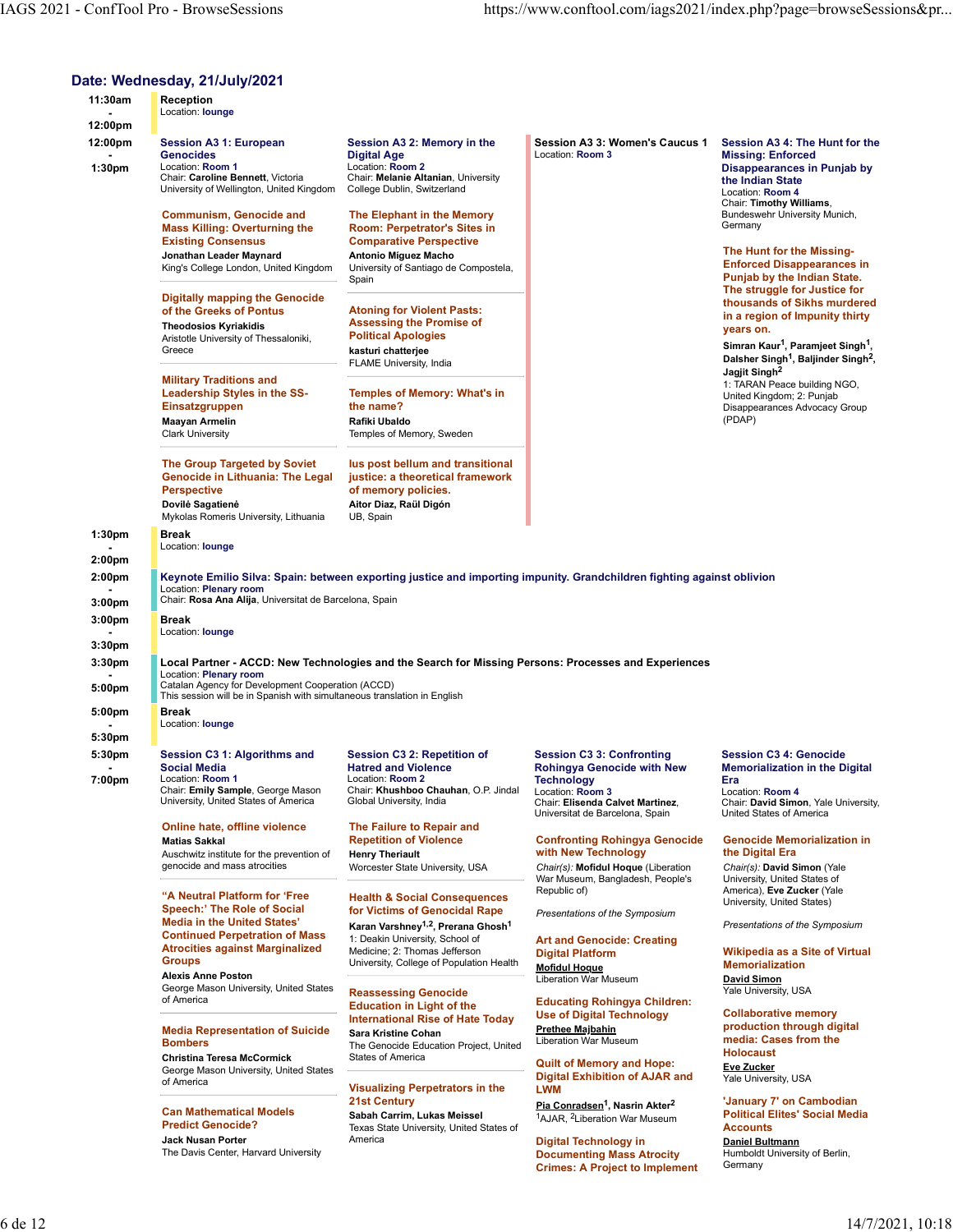### Date: Wednesday, 21/July/2021

|                              | <b>IAGS 2021 - ConfTool Pro - BrowseSessions</b>                                                                      |                                                                                                                        |                                                                                                                 |                                                                                                  |
|------------------------------|-----------------------------------------------------------------------------------------------------------------------|------------------------------------------------------------------------------------------------------------------------|-----------------------------------------------------------------------------------------------------------------|--------------------------------------------------------------------------------------------------|
|                              |                                                                                                                       |                                                                                                                        |                                                                                                                 |                                                                                                  |
|                              |                                                                                                                       |                                                                                                                        |                                                                                                                 |                                                                                                  |
|                              |                                                                                                                       |                                                                                                                        |                                                                                                                 | https://www.conftool.com/iags2021/index.php?page=browseSessions≺                                 |
|                              | Date: Wednesday, 21/July/2021                                                                                         |                                                                                                                        |                                                                                                                 |                                                                                                  |
| 11:30am<br>$\sim$            | Reception<br>Location: lounge                                                                                         |                                                                                                                        |                                                                                                                 |                                                                                                  |
| 12:00pm<br>12:00pm           | <b>Session A3 1: European</b>                                                                                         | Session A3 2: Memory in the                                                                                            | Session A3 3: Women's Caucus 1                                                                                  | Session A3 4: The Hunt for the                                                                   |
| 1:30pm                       | <b>Genocides</b><br>Location: Room 1<br>Chair: Caroline Bennett, Victoria<br>University of Wellington, United Kingdom | <b>Digital Age</b><br>Location: Room 2<br>Chair: Melanie Altanian, University<br>College Dublin, Switzerland           | Location: Room 3                                                                                                | <b>Missing: Enforced</b><br>Disappearances in Punjab by<br>the Indian State<br>Location: Room 4  |
|                              | <b>Communism, Genocide and</b><br><b>Mass Killing: Overturning the</b>                                                | The Elephant in the Memory<br>Room: Perpetrator's Sites in                                                             |                                                                                                                 | Chair: Timothy Williams,<br>Bundeswehr University Munich,<br>Germany                             |
|                              | <b>Existing Consensus</b><br>Jonathan Leader Maynard                                                                  | <b>Comparative Perspective</b><br>Antonio Míguez Macho                                                                 |                                                                                                                 | The Hunt for the Missing-                                                                        |
|                              | King's College London, United Kingdom                                                                                 | University of Santiago de Compostela,<br>Spain                                                                         |                                                                                                                 | <b>Enforced Disappearances in</b><br>Punjab by the Indian State.<br>The struggle for Justice for |
|                              | Digitally mapping the Genocide<br>of the Greeks of Pontus                                                             | <b>Atoning for Violent Pasts:</b>                                                                                      |                                                                                                                 | thousands of Sikhs murdered<br>in a region of Impunity thirty                                    |
|                              | <b>Theodosios Kyriakidis</b><br>Aristotle University of Thessaloniki,<br>Greece                                       | <b>Assessing the Promise of</b><br><b>Political Apologies</b><br>kasturi chatterjee                                    |                                                                                                                 | years on.<br>Simran Kaur <sup>1</sup> , Paramjeet Singh <sup>1</sup> ,                           |
|                              | <b>Military Traditions and</b>                                                                                        | FLAME University, India                                                                                                |                                                                                                                 | Dalsher Singh <sup>1</sup> , Baljinder Singh <sup>2</sup> ,<br>Jagjit Singh <sup>2</sup>         |
|                              | Leadership Styles in the SS-<br>Einsatzgruppen                                                                        | <b>Temples of Memory: What's in</b><br>the name?                                                                       |                                                                                                                 | 1: TARAN Peace building NGO,<br>United Kingdom; 2: Punjab<br>Disappearances Advocacy Group       |
|                              | <b>Maayan Armelin</b><br><b>Clark University</b>                                                                      | Rafiki Ubaldo<br>Temples of Memory, Sweden                                                                             |                                                                                                                 | (PDAP)                                                                                           |
|                              | The Group Targeted by Soviet                                                                                          | lus post bellum and transitional                                                                                       |                                                                                                                 |                                                                                                  |
|                              | <b>Genocide in Lithuania: The Legal</b><br><b>Perspective</b><br>Dovilė Sagatienė                                     | justice: a theoretical framework<br>of memory policies.<br>Aitor Diaz, Raül Digón                                      |                                                                                                                 |                                                                                                  |
|                              | Mykolas Romeris University, Lithuania<br><b>Break</b>                                                                 | UB, Spain                                                                                                              |                                                                                                                 |                                                                                                  |
| 1:30pm<br>2:00 <sub>pm</sub> | Location: lounge                                                                                                      |                                                                                                                        |                                                                                                                 |                                                                                                  |
| 2:00pm                       | Location: Plenary room                                                                                                | Keynote Emilio Silva: Spain: between exporting justice and importing impunity. Grandchildren fighting against oblivion |                                                                                                                 |                                                                                                  |
| 3:00 <sub>pm</sub><br>3:00pm | Chair: Rosa Ana Alija, Universitat de Barcelona, Spain<br>Break                                                       |                                                                                                                        |                                                                                                                 |                                                                                                  |
| 3:30pm                       | Location: lounge                                                                                                      |                                                                                                                        |                                                                                                                 |                                                                                                  |
| 3:30 <sub>pm</sub>           | Location: Plenary room<br>Catalan Agency for Development Cooperation (ACCD)                                           | Local Partner - ACCD: New Technologies and the Search for Missing Persons: Processes and Experiences                   |                                                                                                                 |                                                                                                  |
| 5:00pm<br>5:00pm             | This session will be in Spanish with simultaneous translation in English<br>Break                                     |                                                                                                                        |                                                                                                                 |                                                                                                  |
| 5:30pm                       | Location: lounge                                                                                                      |                                                                                                                        |                                                                                                                 |                                                                                                  |
| 5:30pm                       | Session C3 1: Algorithms and<br><b>Social Media</b>                                                                   | Session C3 2: Repetition of<br><b>Hatred and Violence</b>                                                              | <b>Session C3 3: Confronting</b><br><b>Rohingya Genocide with New</b>                                           | <b>Session C3 4: Genocide</b><br><b>Memorialization in the Digital</b>                           |
| 7:00pm                       | Location: Room 1<br>Chair: Emily Sample, George Mason<br>University, United States of America                         | Location: Room 2<br>Chair: Khushboo Chauhan, O.P. Jindal<br>Global University, India                                   | <b>Technology</b><br>Location: Room 3<br>Chair: Elisenda Calvet Martinez,                                       | Era<br>Location: Room 4<br>Chair: David Simon, Yale University,                                  |
|                              | Online hate, offline violence                                                                                         | The Failure to Repair and                                                                                              | Universitat de Barcelona, Spain                                                                                 | United States of America                                                                         |
|                              | <b>Matias Sakkal</b><br>Auschwitz institute for the prevention of                                                     | <b>Repetition of Violence</b><br><b>Henry Theriault</b>                                                                | <b>Confronting Rohingya Genocide</b><br>with New Technology                                                     | <b>Genocide Memorialization in</b><br>the Digital Era                                            |
|                              | genocide and mass atrocities                                                                                          | Worcester State University, USA                                                                                        | Chair(s): Mofidul Hoque (Liberation<br>War Museum, Bangladesh, People's<br>Republic of)                         | Chair(s): David Simon (Yale<br>University, United States of<br>America), Eve Zucker (Yale        |
|                              | "A Neutral Platform for 'Free<br>Speech:' The Role of Social                                                          | <b>Health &amp; Social Consequences</b><br>for Victims of Genocidal Rape                                               | Presentations of the Symposium                                                                                  | University, United States)                                                                       |
|                              | <b>Media in the United States'</b><br><b>Continued Perpetration of Mass</b><br><b>Atrocities against Marginalized</b> | Karan Varshney <sup>1,2</sup> , Prerana Ghosh <sup>1</sup><br>1: Deakin University, School of                          | <b>Art and Genocide: Creating</b>                                                                               | Presentations of the Symposium                                                                   |
|                              | <b>Groups</b><br><b>Alexis Anne Poston</b>                                                                            | Medicine; 2: Thomas Jefferson<br>University, College of Population Health                                              | <b>Digital Platform</b><br><b>Mofidul Hoque</b><br><b>Liberation War Museum</b>                                 | <b>Wikipedia as a Site of Virtual</b><br><b>Memorialization</b><br><b>David Simon</b>            |
|                              | George Mason University, United States<br>of America                                                                  | <b>Reassessing Genocide</b><br><b>Education in Light of the</b>                                                        | <b>Educating Rohingya Children:</b>                                                                             | Yale University, USA                                                                             |
|                              | <b>Media Representation of Suicide</b>                                                                                | <b>International Rise of Hate Today</b><br>Sara Kristine Cohan                                                         | <b>Use of Digital Technology</b><br><b>Prethee Majbahin</b>                                                     | <b>Collaborative memory</b><br>production through digital                                        |
|                              | <b>Bombers</b><br><b>Christina Teresa McCormick</b>                                                                   | The Genocide Education Project, United<br>States of America                                                            | Liberation War Museum<br><b>Quilt of Memory and Hope:</b>                                                       | media: Cases from the<br><b>Holocaust</b>                                                        |
|                              | George Mason University, United States<br>of America                                                                  | <b>Visualizing Perpetrators in the</b>                                                                                 | <b>Digital Exhibition of AJAR and</b><br><b>LWM</b>                                                             | <b>Eve Zucker</b><br>Yale University, USA                                                        |
|                              | <b>Can Mathematical Models</b>                                                                                        | <b>21st Century</b><br>Sabah Carrim, Lukas Meissel                                                                     | Pia Conradsen <sup>1</sup> , Nasrin Akter <sup>2</sup><br><sup>1</sup> AJAR, <sup>2</sup> Liberation War Museum | 'January 7' on Cambodian<br><b>Political Elites' Social Media</b>                                |
|                              | <b>Predict Genocide?</b><br>Jack Nusan Porter<br>The Davis Center, Harvard University                                 | Texas State University, United States of<br>America                                                                    | <b>Digital Technology in</b>                                                                                    | <b>Accounts</b><br>Daniel Bultmann                                                               |
|                              |                                                                                                                       |                                                                                                                        | <b>Documenting Mass Atrocity</b>                                                                                | Humboldt University of Berlin,<br>Germany                                                        |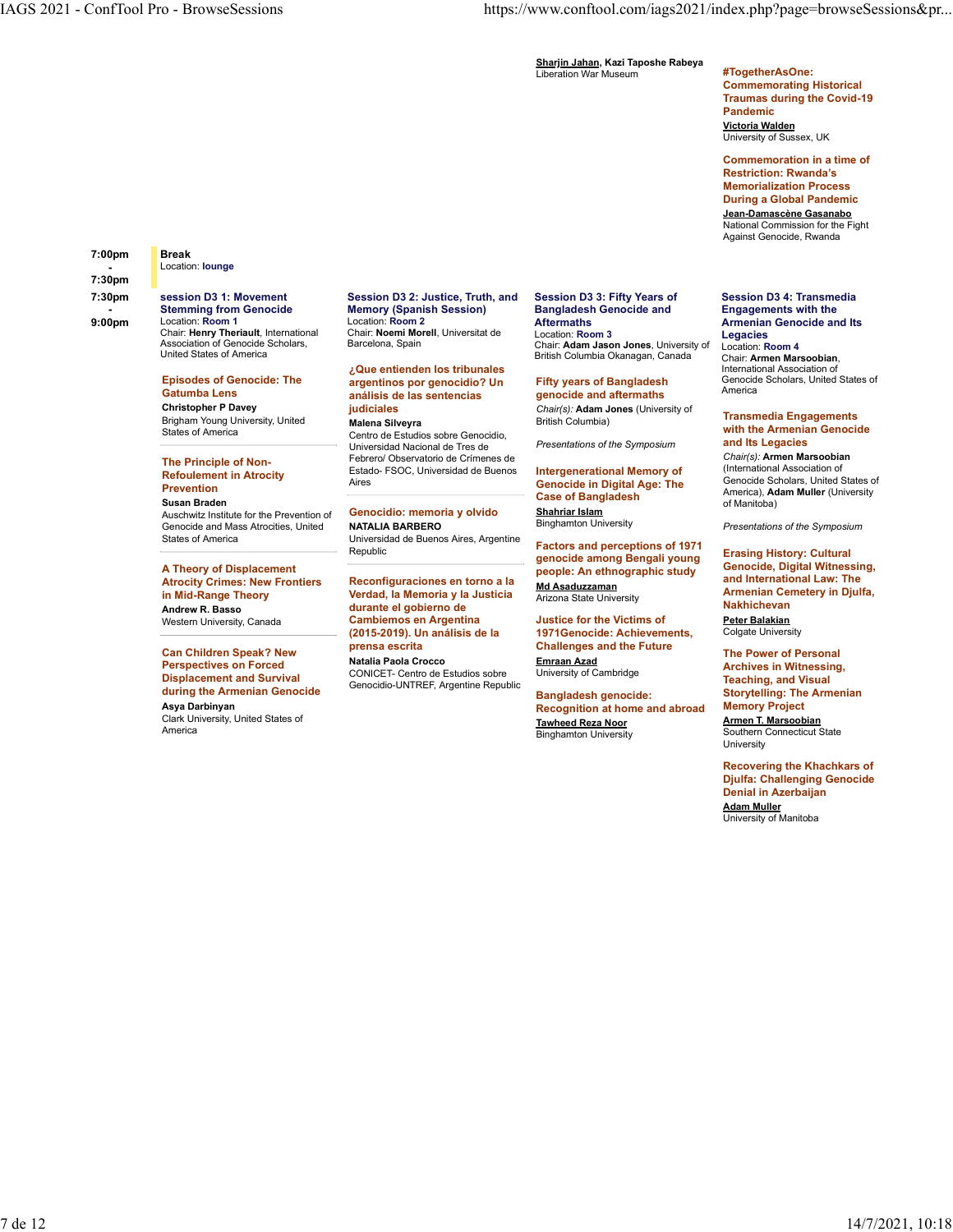Sharjin Jahan, Kazi Taposhe Rabeya Liberation War Museum #TogetherAsOne:

### Commemorating Historical Traumas during the Covid-19 Pandemic Victoria Walden University of Sussex, UK

Commemoration in a time of Restriction: Rwanda's Memorialization Process During a Global Pandemic Jean-Damascène Gasanabo

National Commission for the Fight Against Genocide, Rwanda

### Session D3 4: Transmedia Engagements with the

Chair: Armen Marsoobian, International Association of Genocide Scholars, United States of America **America America America America** 

### Transmedia Engagements with the Armenian Genocide and Its Legacies

Chair(s): Armen Marsoobian (International Association of Genocide Scholars, United States of America), Adam Muller (University of Manitoba)

**NATALIA BARBERO Binghamton University Example 3** Presentations of the Symposium

Erasing History: Cultural Genocide, Digital Witnessing, and International Law: The Nakhichevan Peter Balakian

Colgate University

Emraan Azad Archives in Witnessing, The Power of Personal Teaching, and Visual Storytelling: The Armenian Memory Project

Armen T. Marsoobian Southern Connecticut State University

Recovering the Khachkars of Djulfa: Challenging Genocide Denial in Azerbaijan Adam Muller University of Manitoba

### 7:00pm - Location: lounge **Location:** lounge **Location:** lounge **Location:** lounge **Location:** lounge **Location:** lounge **Location:** lounge **Location:** lounge **Location:** lounge **Location:** lounge **Location:** lounge **Location:** l Break

### 7:30pm - Stemming from Genocide<br>9:00pm Location: Room 1 session D3 1: Movement Chair: Henry Theriault, International Chair: Noemi Mo<br>Association of Genocide Scholars, Barcelona, Spain Association of Genocide Scholars, United States of America

Christopher P Davey **Christopher P Davey Brigham Young University, United<br>States of America** 

### The Principle of Non-Refoulement in Atrocity Estate<br>Aires Prevention

Auschwitz Institute for the Prevention of **Genocidio: memor**<br>Genocide and Mass Atrocities, United **NATALIA BARBERO** Separator and Associate of the Care of Cenocide and Mass Atrocities, United **NATALIA BARBERO**<br>States of America Cenocide and Mass Atrocities, Universidad de Buenos Aires. Argentine States of America **States of America** Christens in Universidad de Buenos Aires, Argentine Christens and non-american and ACTA

A Theory of Displacement

### Can Children Speak? New Prensa escrita and the Challenges and Challenges and Challenges and Challenges and Challenges and Challenges and Challenges and Challenges and Challenges and Challenges and Challenges and Challenges Perspectives on Forced Displacement and Survival during the Armenian Genocide Asya Darbinyan

Clark University, United States of America

### 7:30pm session D3 1: Movement Session D3 2: Justice, Truth, and Session D3 3: Fifty Years of Session D3 4: Trans 9:00pm Location: Room 1 Location: Room 2 Stemming from Genocide Memory (Spanish Session) Chair: Noemi Morell, Universitat de Location: Room 3

### Episodes of Genocide: The exagentinos por genocidio? Un Fifty years of Bangladesh Genocide Scholars, Gatumba Lens **análisis de las sentencias** anos de genocide and aftermaths and <sup>America</sup> ¿Que entienden los tribunales

States of America Centro de Estudios sobre Genocidio, Malena Silveyra Universidad Nacional de Tres de

Febrero/ Observatorio de Crímenes de Estado- FSOC, Universidad de Buenos Aires **And Communist Communist Communist Communist Communist Communist Communist Communist Communist Communist Communist Communist Communist Communist Communist Communist Communist Communist Communist Communist Communist C** 

oniversidad do Bachos Allies, Algermann Factors and perceptions of 1971 Frasing History: Cultural

### Andrew R. Basso durante el gobierno de Western University, Canada **Cambiernos en Argentina**<br>2015-2019). Un análisis de la Cambiemos en Argentina (2015-2019). Un análisis de la 1971Genocide: Achievements,

Natalia Paola Crocco CONICET- Centro de Estudios sobre Genocidio-UNTREF, Argentine Republic

### Session D3 3: Fifty Years of Bangladesh Genocide and Aftermaths Armenian Genocide and Its

Barcelona, Spain **Example 2** Chair: Adam Jason Jones, University of Location: Room 4 Location: Room 3<br>Chair: **Adam Jason Jones**, University of Location: **Room 4** British Columbia Okanagan, Canada

**judiciales** entitled and the chair(s): Adam Jones (University of the contract of the contract of the contract of the contract of the contract of the contract of the contract of the contract of the contract of the contract Fifty years of Bangladesh Genocide genocide and aftermaths British Columbia)

Presentations of the Symposium

Susan Braden of Manitoba)<br>Auschwitz Institute for the Prevention of Cenocidio: memoria y olvido Shahriar Islam Intergenerational Memory of Case of Bangladesh Shahriar Islam

Atrocity Crimes: New Frontiers Reconfiguraciones en torno a la seduzzamento del configuracione del numero and Internatio in Mid-Range Theory **1988 Contract Contract Verdad, la Memoria y la Justicia** Arizona State University **Arizona Contract Arizona** genocide among Bengali young people: An ethnographic study Md Asaduzzaman Armenian Cemetery in Djulfa, Arizona State University

> prensa escrita Challenges and the Future Justice for the Victims of

> > University of Cambridge

Bangladesh genocide: Recognition at home and abroad Tawheed Reza Noor Binghamton University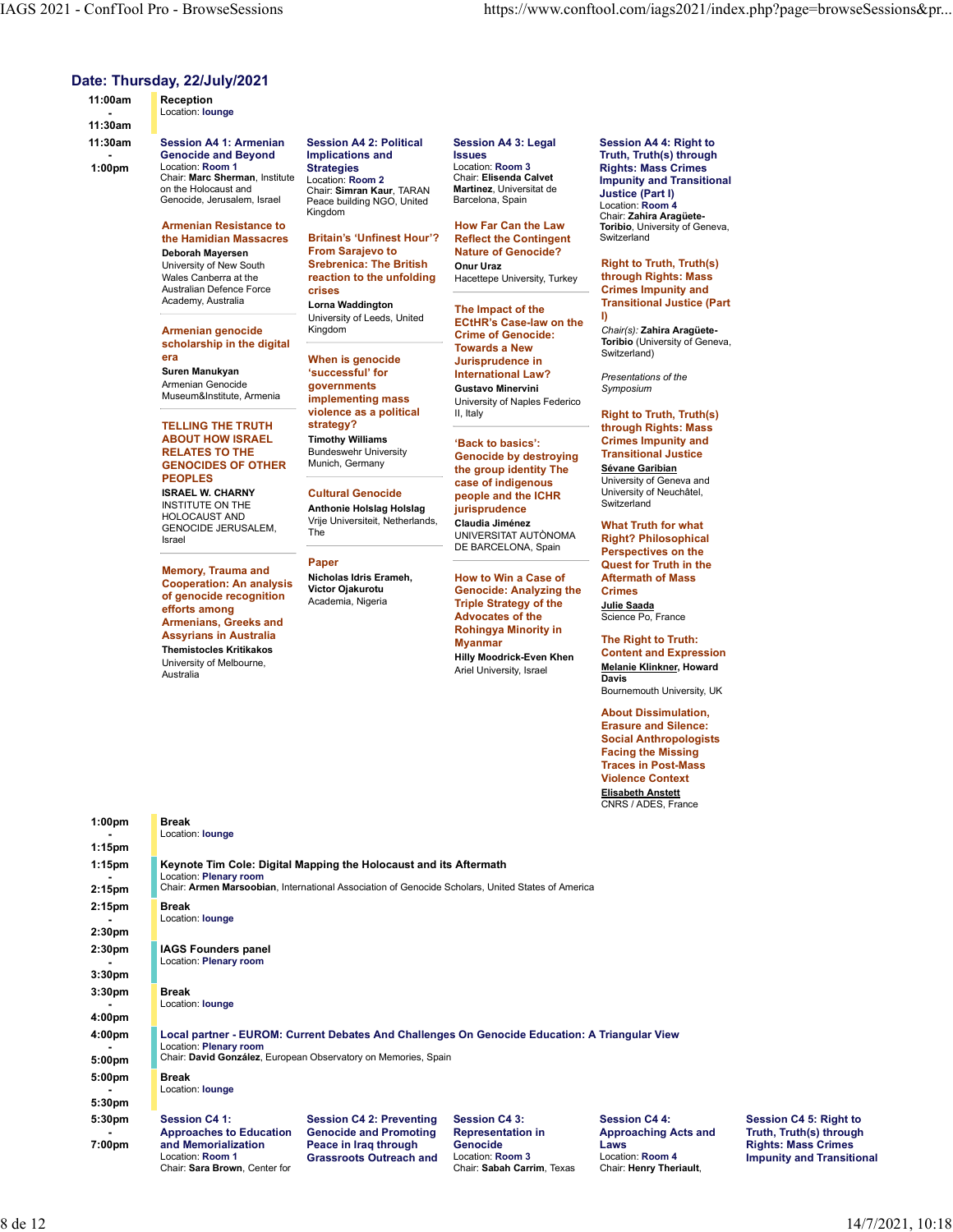### Date: Thursday, 22/July/2021

**Reception** 

11:00am - Location: lounge **Location:** lounge **Location:** lounge **Location:** lounge **Location:** lounge **Location:** lounge **Location:** lounge **Location:** lounge **Location:** lounge **Location:** lounge **Location:** lounge **Location:** l

11:30am 11:30am Session A4 1: Armenian - Genocide and Beyond Implications and Insues 1:00pm Location: Room 1 Strategies Chronic Location: Room 3 Rights: Location: Room 1 **Strategies** Location: Room 3<br>Chair: Marc Sherman, Institute Location: Room 2 Chair: Elisenda Calvet Chair: Marc Sherman, Institute<br>on the Holocaust and Genocide, Jerusalem, Israel

> Armenian Resistance to **Armenian Resistance** to **Armenian** How Far Can the Law **the Hamidian Massacres Britain's 'Unfinest Hour'? Reflect the Contingent** Switzerland Deborah Mayersen From Sarajevo to University of New South **Srebrenica: The British Charl Uraz** Right to Truth, Truth(s) Wales Canberra at the **reaction to the unfolding** Australian Defence Force **Crises**

Armenian genocide Kingdom scholarship in the digital

Armenian Genocide **Container and Armenian Container and Armenian** 

### TELLING THE TRUTH strategy? ABOUT HOW ISRAEL GENOCIDES OF OTHER PEOPLES case of indigenous

GENOCIDE JERUSALEM, The Israel

Memory, Trauma and Traper Reports Chamber Micholas Idris Erameh. Cooperation: An analysis Nicholas luns En of genocide recognition Academia, Nigeria efforts among Armenians, Greeks and Assyrians in Australia Themistocles Kritikakos University of Melbourne, **Australia** 

Session A4 2: Political Sessio<br>Implications and Issues Peace building NGO, United<br>Kingdom

crises Critics Critics (Critics Critics of Critics of Critics of Critics of Critics of Critics of Critics of C

Academy, Australia **Lorna Waddington** 

Museum&Institute, Armenia implementing mass violence as a political ii, Italy Timothy Williams

Munich, Germany

HOLOCAUST AND<br>
acupe universiteit, Netherlands, Claudia Jiménez

### Paper

Session A4 3: Legal Martinez, Universitat de Barcelona, Spain

> Reflect the Contingent Nature of Genocide?

**reaction to the unfolding** Hacettepe University, Turkey **through Rights: Mass** 

era **Example 19 SWITZERIAN When is genocide** and **Jurisprudence in** SWITZERIAN SWITZERIAN Suren Manukyan 'successful' for International Law? University of Leeds, United **ECHEP's Case-low on the** governments Gustavo Minervini Symposium **implementing mass** University of Naples Federico **Container and Separate Section** ECtHR's Case-law on the Crime of Genocide: Towards a New Jurisprudence in

RELATES TO THE Bundeswehr University **Canocida by destroving** Transitiona **ISRAEL W. CHARNY Cultural Genocide The openie and the ICHR** University of Neuchâtel, INSTITUTE ON THE **Anthonie Holslag Holslag in Example and Anthonie Holslag Contra** 'Back to basics': Genocide by destroying the group identity The **case of indigenous** University of Geneva and **Example 2018** jurisprudence

UNIVERSITAT AUTÒNOMA UNIVERSITAT AUTÒNOMA Right? Philosophical DE BARCELONA, Spain

Victor Ojakurotu Genocide: Analyzing the Academia, Nigeria **Triple Strategy of the Collage Strategy of the Collage Strate** Advocates of the Rohingya Minority in Myanmar The Right to Truth: Hilly Moodrick-Even Khen

on the Holocaust and Location: Room 2 Chair: Simran Kaur, TARAN Implications and Issues Truth, Truth(s) through Kingdom Location: Room 3 Rights: Mass Crimes Chair: Elisenda Calvet Impunity and Transitional How Far Can the Law Chair: Zahira Aragüete-Toribio, University of Geneva, Session A4 4: Right to Justice (Part I) Location: Room 4 **Switzerland** 

> Lorna Waddington **The Impact of the College Contract Lor**na Waddington **The Impact of the College College Colle** Onur Uraz Right to Truth, Truth(s) through Rights: Mass Crimes Impunity and Transitional Justice (Part I)

Kingdom Chair(s): Zahira Aragüete-Toribio (University of Geneva, Switzerland)

> Presentations of the Symposium

strategy? through Rights: Mass II, Italy **Right to Truth, Truth(s)** Crimes Impunity and Transitional Justice

> Sévane Garibian University of Neuchâtel, Switzerland

Nicholas Idris Erameh, How to Win a Case of Claudia Jiménez What Truth for what Perspectives on the Quest for Truth in the Aftermath of Mass **Crimes Crimes Crimes Crimes Crimes** Julie Saada Science Po, France

> Ariel University, Israel **Melan**<br>Davis Content and Expression Melanie Klinkner, Howard **Davis Davis Davis Davis Davis Davis Davis Davis Davis Davis Davis Davis Davis Davis Davis Davis Davis Davis Davis Davis Davis Davis** Bournemouth University, UK

> > About Dissimulation, Erasure and Silence: Social Anthropologists Facing the Missing Traces in Post-Mass Violence Context Elisabeth Anstett CNRS / ADES, France

Chair: Henry Theriault,

1:00pm - Location: lounge **Location:** lounge **Location:** lounge **Location:** lounge **Location:** lounge **Location:** lounge **Location:** lounge **Location:** lounge **Location:** lounge **Location:** lounge **Location:** lounge **Location:** l 1:15pm Break 1:15pm Keynote Tim Cole: Digital Mapping the Holocaust and its Aftermath - **Location: Plenary room** 2:15pm Chair: Armen Marsoobian, International Association of Genocide Scholars, United States of Am Location: Plenary room<br>Chair: **Armen Marsoobian**, International Association of Genocide Scholars, United States of America 2:15pm - Location: lounge **Location:** lounge **Location:** lounge **Location:** lounge **Location:** lounge **Location:** lounge **Location:** lounge **Location:** lounge **Location:** lounge **Location:** lounge **Location:** lounge **Location:** l 2:30pm Break 2:30pm IAGS Founders panel **Example 20** Location: Plenary room **According 20 According 20 According 20 According 20 According 20 According 20 According 20 According 20 According 20 According 20 According 20 According 20 According 20 According 20 Acc** 3:30pm 3:30pm - Location: lounge **Location:** lounge **Location:** lounge **Location:** lounge **Location:** lounge **Location:** lounge **Location:** lounge **Location:** lounge **Location:** lounge **Location:** lounge **Location:** lounge **Location:** l 4:00pm Break 4:00pm Local partner - EUROM: Current Debates And Challenges On Genocide Education: A Triangular View **Example 20** Location: Plenary room **According 20 According 20 According 20 According 20 According 20 According 20 According 20 According 20 According 20 According 20 According 20 According 20 According 20 According 20 Acc** 5:00pm Chair: David González, European Observatory on Memories, Spain 5:00pm - Location: lounge **Location:** lounge **Location:** lounge **Location:** lounge **Location:** lounge **Location:** lounge **Location:** lounge **Location:** lounge **Location:** lounge **Location:** lounge **Location:** lounge **Location:** l 5:30pm Break 5:30pm Session C4 1: Session C4 2: Preventing - Approaches to Education<br>7:00pm and Memorialization 7:00pm and Memorialization Peace in Iraq through Approaches to Education Genocide and Promoting Representation in Approaching Acts and Location: Room 1 Grassroots Outreach and Session C4 3: Session C4 4: Representation in **Approaching Acts and** Genocide Laws Location: Room 3 Location: Room 4

Chair: Sara Brown, Center for Chair: Sabah Carrim, Texas

Session C4 5: Right to Approaching Acts and Truth, Truth(s) through Laws Rights: Mass Crimes Location: Room 4 Impunity and Transitional Session C4 4: Session C4 5: Right to<br>Approaching Acts and Truth, Truth(s) through<br>Laws Rights: Mass Crimes<br>Location: Room 4 Impunity and Transitional<br>Chair: Henry Theriault,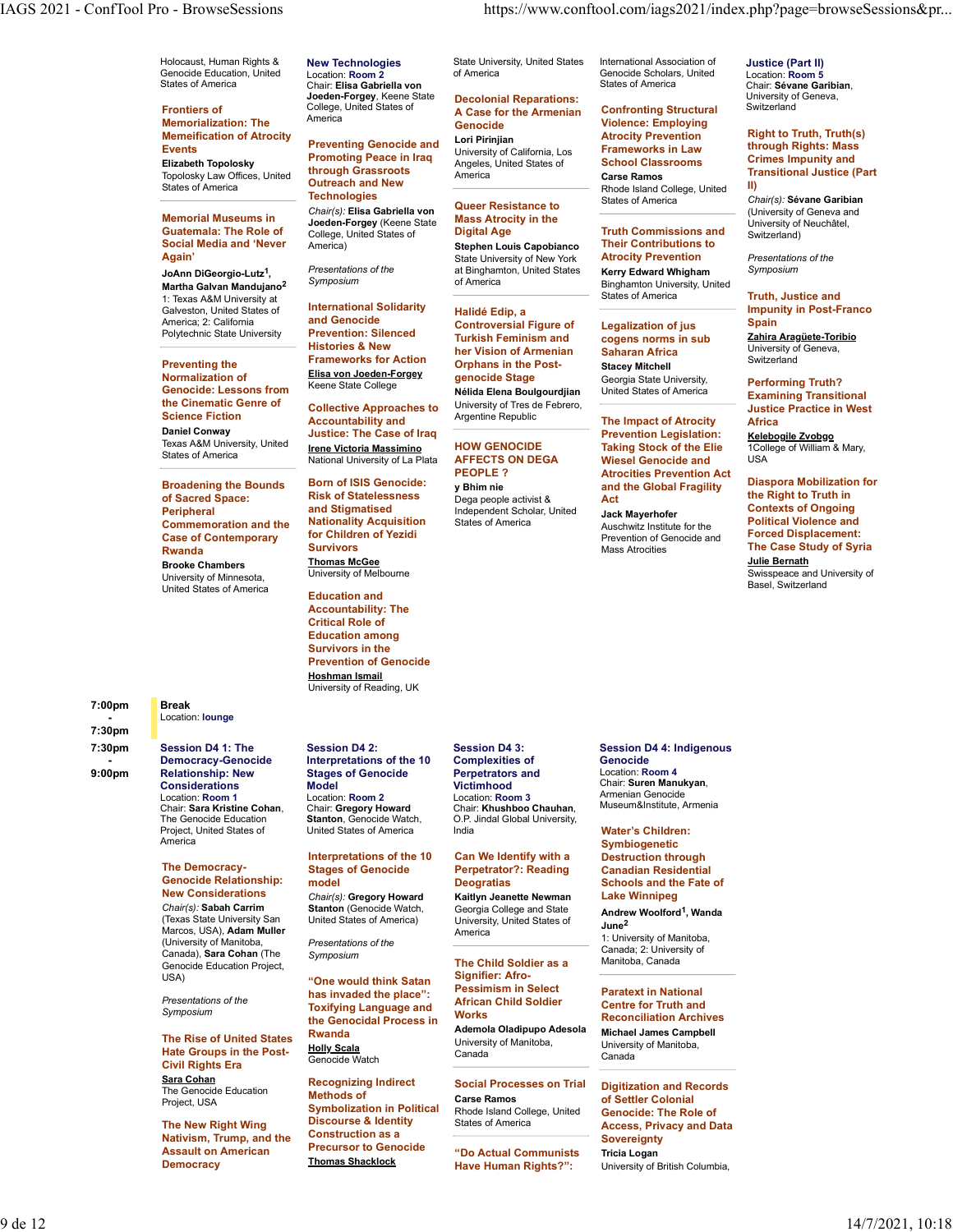Holocaust, Human Rights & **New Technologies** State University Cenocide Education, United Location: Room 2<br>Genocide Education, United Location: Rise Centricilla von States of America

**Frontiers of Example 2018** College, United Sta Tromers of the America Case of the Memorialization: The America Case of the Museo Memorialization: The America Memeification of Atrocity<br> **Example: Brownting Genecide and Lori Pirinjian** Events<br>Promoting Peace in Iraq University of California, Los Frameworks in Law<br>Fliesheth Tenelseley Promoting Peace in Iraq Apples United Ottage School Classrooms Elizabeth Topolosky

States of America

Memorial Museums in  $\frac{1}{2}$  and  $\frac{1}{2}$   $\frac{1}{2}$   $\frac{1}{2}$   $\frac{1}{2}$   $\frac{1}{2}$   $\frac{1}{2}$   $\frac{1}{2}$   $\frac{1}{2}$   $\frac{1}{2}$   $\frac{1}{2}$   $\frac{1}{2}$   $\frac{1}{2}$   $\frac{1}{2}$   $\frac{1}{2}$   $\frac{1}{2}$   $\frac{1}{2}$   $\frac{1}{2}$   $\frac{1}{2}$   $\frac{1}{2$ Social Media and 'Never America) Again'

JoAnn DiGeorgio-Lutz<sup>1</sup>, Presentations of the<br>11 (1) Contract Department of the Symposium Martha Galvan Mandujano<sup>2</sup> Symposium<br>Martha Galvan Mandujano<sup>2</sup> Symposium 1: Texas A&M University at Galveston, United States of **International States**<br>America: 2: California **and Genocide** America; 2: California **and Genocide Marie Controversial Figure of Legalization of jus** Polytechnic State University Prevention: Silenced

Preventing the Normalization of<br>Genocide: Lessons from the Cinematic Genre of

Broadening the Bounds Born of ISIS Genocide: y Bhim nie of Sacred Space: The RISK of Stateless<br>Perinheral state and Stigmatised **Peripheral Commemoration and the Nationality Acquisition** States of America Case of Contemporary for Children<br>Burgade Survivors Rwanda **Buryivors** Survivors Brooke Chambers University of Minnesota, United States of America

7:00pm Break

7:30pm Session D4 1: The - Democracy-Genocide<br>9:00pm Relationship: New 9:00pm Relationship: New Stages of Genocide **Considerations Model Model Model Victimhood**<br>
Location: Room 1 Location: Room 2 Location: Roo Chair: S<mark>ara Kristine Cohan, Chair: Gregory Howard</mark><br>The Genocide Education **Stanton**, Genocide Watch, Project, United States of America

### The Democracy-Genocide Relationship:

Chair(s): Sabah Carrim Stanton (Genocide Watch, United States of America) University, United States of (Texas State University San Marcos, USA), Adam Muller **Marcos, USA** America (University of Manitoba, Canada), Sara Cohan (The Symposium Genocide Education Project,<br>USA)

Presentations of the

The Rise of United States Rwanda Hate Groups in the Post-Civil Rights Era Sara Cohan<br>
The Cohan Collect Recognizing Indirect

Nativism, Trump, and the Democracy Thomas Shacklock

Location: Room 2 of America Christian Cenocide Scholar<br>Chair: Elise Gebriells von Joeden-Forgey, Keene State becolonial Reparations:<br>College, United States of the Assession of the Armonian Confronting Structura

### Topolosky Law Offices, United **Infough Grassroots** America<br>States of America<br> **Outreach and New Preventing Genocide and Lori Pirinjian Contract Contract Contract Contract Prevention** through Grassroots Outreach and New **College, College, United Bland College, United II**) Technologies<br>Chair(a): Fline Cohriella von Queer Resistance to States of America Chair(s): Elisa Gabriella von

memorial museums in The Joeden-Forgey (Keene State Mids's Atrocity in the Mathemala: The Role of College, United States of Digital Age Truth Commissions are America) **Stephen Louis Capobianco Their Contributions to** 

International Solidarity Histories & New **her Vision of Armenian** Saharan Africa **Diversity of Geneva,** Frameworks for Action Elisa von Joeden-Forgey Giphans in the Keene State College

Science Fiction **Accountability and** Argentine Republic Daniel Conway **Daniel Concernsive Contract Convention** Convention Legislation: Texas A&M University, United<br>
The University of the University of La Plate Movies Chapter of La Plate AFEFCTS ON DE States of America **Control Control Control Control Control Control Control Control Control Control Control Control Control Control Control Control Control Control Control Control Control Control Control Control Control Con** Collective Approaches to Accountability and Argentine Republic **The Impact of Atrocity Africa**<br> **Argentine Argentine Republic** The Impact of Atrocity Africa

> Born of ISIS Genocide: Nationality Acquisition for Children of Yezidi **Thomas McGee** University of Melbourne

Education and Accountability: The Critical Role of Education among Survivors in the Prevention of Genocide Hoshman Ismail University of Reading, UK

# Model

United States of America India

### Interpretations of the 10<br>Stages of Genocide model **Deogratias**

New Considerations <sub>Chair(s):</sub> Gregory Howard Kaitlyn Jeanette Newman Lake Winnipeg

Presentations of the

has invaded the place": **TOXITYING Language and Works Holly Scala**<br>Canada Canada Canada Canada Canada Canada Genocide Watch

The Genocide Education Methods of Carse Ramos<br>Project, USA Carse Ramos Project, USA **Symbolization in Political Carse Ramos**<br>Symbolization in Political Rhode Island College. Uniter The New Right Wing **Discourse & Identity** States of America Assault on American "Do Actual Communists Recognizing Indirect Social Processes on Trial Digitization and Record Methods of Discourse & Identity Construction as a Precursor to Genocide

Holocaust, Human Rights & New Technologies State University, United States International Association of Justice (Part II) of America **Contact Constants** Genocide Scholars, United Location: **Room 5** Constants Constants Constants Constant

### College, United States of **America Administration Confronting Structural** Switzerland<br>America America Constanting Contract Micloness Employing Decolonial Reparations: Genocide Violence: Employing

University of California, Los **Frameworks in Law**<br>Angeles United States of **School Classrooms** Angeles, United States of

# Mass Atrocity in the

Presentations of the **ack and States At All Accord Control** of the Symposium control of the state Symposium State University of New York **Atrocity Prevention** *Presentation*<br>at Binghamton United States **Kerry Edward Whigham** Symposium

Nélida Elena Boulgourdiian United States of America Halidé Edip, a Turkish Feminism and cogens norms in sub Z<u>ahira Aragüete-Toribio</u> Orphans in the Post-University of Tres de Febrero,

Risk of Statelessness begaue before activist & Act and Stigmatised **and Stigmatised** and Scholar, United Jack Mayerhofer **Contexts of Ongoing** Dega people activist &

States of America Chair: Elisa Gabriella von International Association of States of America Chair: Sévane Garibian,

> **Atrocity Prevention Carse Ramos** Transform Confronting Structural

Symposium of America Binghamton University, United Digital Age **Truth Commissions and** Switzerland) **Constanting** Their Contributions to Atrocity Prevention Kerry Edward Whigham States of America **Example 18 Truth, Justice and** 

> Georgia State University, Legalization of jus Saharan Africa Stacey Mitchell

<u>Irene Victoria Massimino</u> HOW GENOCIDE Taking Stock of the Elie and a College of William & Mary, and the Stock of the Elie and a Mary, and the Stock of the Elie and the Mary, and the Stock of the Elie and the Mary, and th AFFECTS ON DEGA Wiesel Genocide and **PEOPLE ?** Atrocities Prevention Act **Action Act Prevention Act Properties Prevention Act** y Bhim nie **and the Global Fragility** Diaspora Mobilization for the Shim and the Global Fragility Prevention Legislation:

Mass Atrocities Jack Mayerhofer Prevention of Genocide and Mass Atrocities **The Case Study of Syria** 

### Justice (Part II) Location: Room 5 University of Geneva, Switzerland

Atrocity Prevention Right to Truth, Truth(s) Frameworks in Law through Rights: Mass School Classrooms Crimes Impunity and Carse Ramos Transitional Justice (Part II)

Queer Resistance to States of America Chair(s): Sévane Garibian<br>
Chair States of America (University of Geneva and University of Neuchâtel, Switzerland)

> Presentations of the Symposium

Impunity in Post-Franco Spain **Spain** and the second control of the second control of the second control of the second control of the second control of the second control of the second control of the second control of the second control of the se

Zahira Aragüete-Toribio University of Geneva, Switzerland

Nélida Elena Boulgourdjian United States of America Examining Transitional Georgia State University, **Performing Truth?** Justice Practice in West Africa **Africa** Andrew Maria Maria Andrew Maria Maria Andrew Maria Maria Maria Andrew Maria Maria Maria Maria Ma Kelebogile Zvobgo

1College of William & Mary,<br>USA USA

States of America **Auschwitz Institute for the Political Violence and** Act the Right to Truth in Diaspora Mobilization for Contexts of Ongoing Political Violence and Forced Displacement:

> Julie Bernath Swisspeace and University of Basel, Switzerland

Location: Room 3 Museum&Institute, Armenia

Rwanda Ademola Oladipupo Adesola University of Manitoba, Canada Canada Canada Canada Canada Canada Canada Canada Canada Canada Canada Canada Canada Canada Canada Canada

Rhode Island College, United

Have Human Rights?": **Have Human Rights?":** University of British Columbia,

Session D4 3: Session D4 4: Indigenous Perpetrators and Location: Room 4 Victimhood Chair: Suren Manukyan, Genocide Armenian Genocide

Stages of Genocide Perpetrator?: Reading India **Children: Water's Children: Natural Children: Natural Children**: **Natural Children**: **Natural Children**: **Natural Children**: **Natural Children**: **Natural Children**: **Natural Children**: **Natural Children**: **Nat** Deogratias Schools and the Fate of Symbiogenetic Destruction through Canadian Residential Lake Winnipeg

> Georgia College and State Andrew Woolford1, Wanda  $\mathsf{June^2}$

> > Manitoba, Canada Paratext in National Centre for Truth and

Michael James Campbell University of Manitoba, Canada

Carse Ramos of Settler Colonial States of America **Exercise Access, Privacy and Data** Digitization and Records Genocide: The Role of **Sovereignty** Tricia Logan

Symposium<br>
Symposium America 1: University of Manitoba,

- Location: lounge **Location:** lounge **Location:** lounge **Location:** lounge **Location:** lounge **Location:** lounge **Location:** lounge **Location:** lounge **Location:** lounge **Location:** lounge **Location:** lounge **Location:** l 7:30pm Democracy-Genocide Interpretations of the 10 Session D4 2: Session D4 3: Complexities of

## Location: Room 1 Location: Room 2 Chair: **Sara Kristine Cohan, Chair: Gregory Howard** Chair: **Khushboo Chauhan,** <sup>museum&institute, Armenia<br>The Genocide Education **Stanton**, Genocide Watch, O.P. Jindal Global University,</sup>

Can We Identify with a

Kaitlyn Jeanette Newman

USA) "One would think Satan Signifier: Afro-\_\_\_\_\_\_\_\_\_\_\_\_\_\_\_\_\_\_\_\_\_\_\_\_\_ The Child Soldier as a Signifier: Afro-Pessimism in Select

Toxifying Language and Morks United States of the Centre of Truth and Sumposium and States of Truth and Sumposium and Sumposium and Sumposium and Sumposium and Sumposium and Sumposium and Sumposium and Sumposium and Sumpos African Child Soldier Works Reconciliation Archives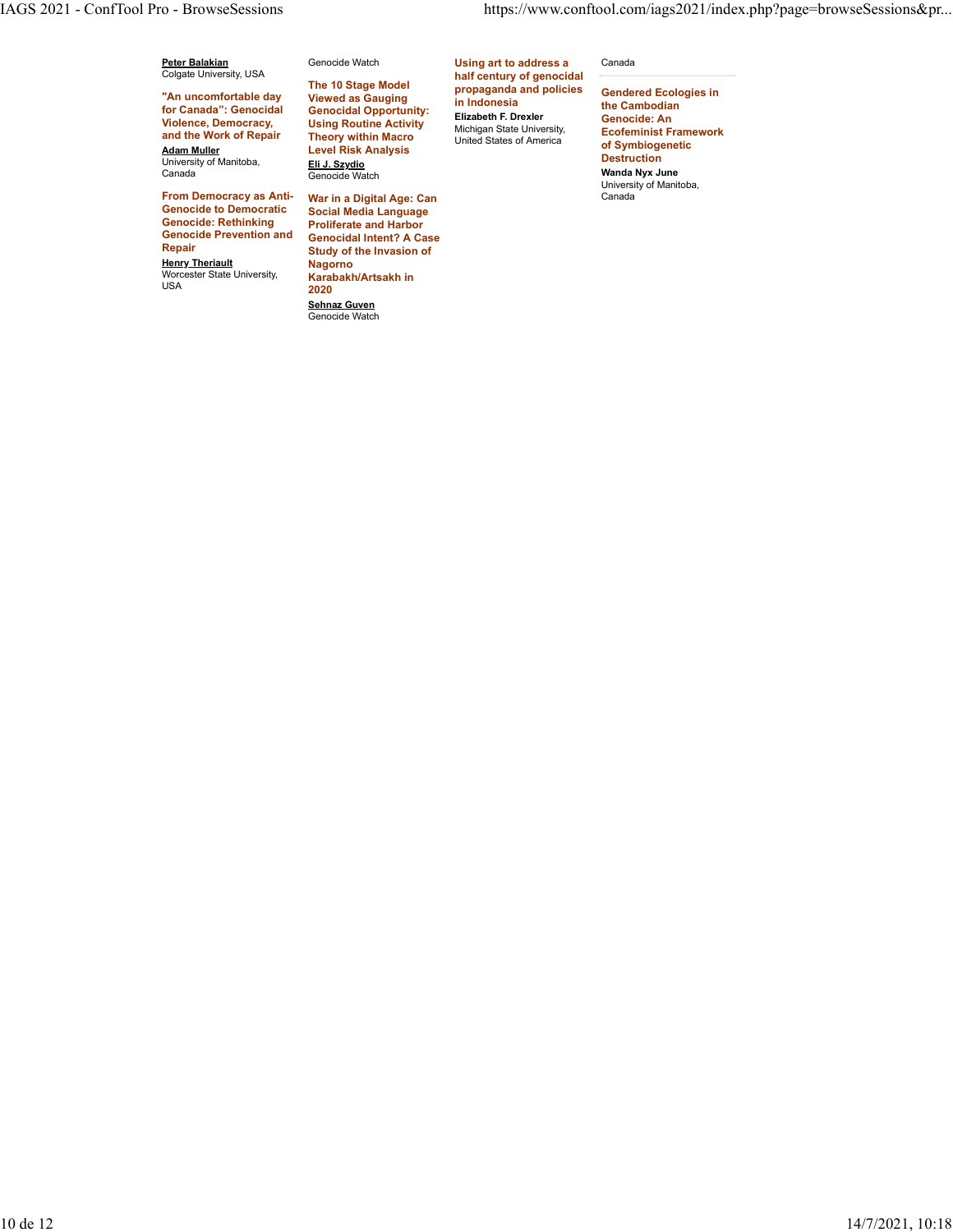Peter Balakian<br>Colgate University, USA<br>
expansive and the Colorador

"An uncomfortable day Viewed as Gauging in Indonesia for Canada": Genocidal Violence, Democracy, and the Work of Repair Theory within Macro Adam Muller Level Risk Analysis University of Manitoba,

From Democracy as Anti-Genocide to Democratic Genocide: Rethinking<br>Genocide Prevention and Genocide Prevention and Genocidal Intent? A Case Repair Study of the Invasion of Henry Theriault Worcester State University,  $\frac{1}{2020}$ 

University of Manitoba, <u>Eli J. Szydio</u><br>Canada Genocide Watch **Wanda Nyx Jur** The 10 Stage Model Viewed as Gauging

> War in a Digital Age: Can Social Media Language Proliferate and Harbor Nagorno Karabakh/Artsakh in 2020 **Sehnaz Guven**<br>Genocide Watch

Colgate University, USA **half century of genocidal Colgate University, USA** Genocide Watch **Example 2. In the Using art to address a** Canada **Canada** Genocidal Opportunity: Using Routine Activity **Containers Activity** Michigan State University **Containers Activity Theory within Macro 11 Inited States of America COLLITING CONSUMITIES** propaganda and policies Elizabeth F. Drexler

### Canada

in Indonesia **the Cambodian** Michigan State University, **Ecofeminist Framework**<br>United States of America **of Symbiogenatic** Gendered Ecologies in Genocide: An Ecofeminist Framework of Symbiogenetic Destruction Wanda Nyx June University of Manitoba, Canada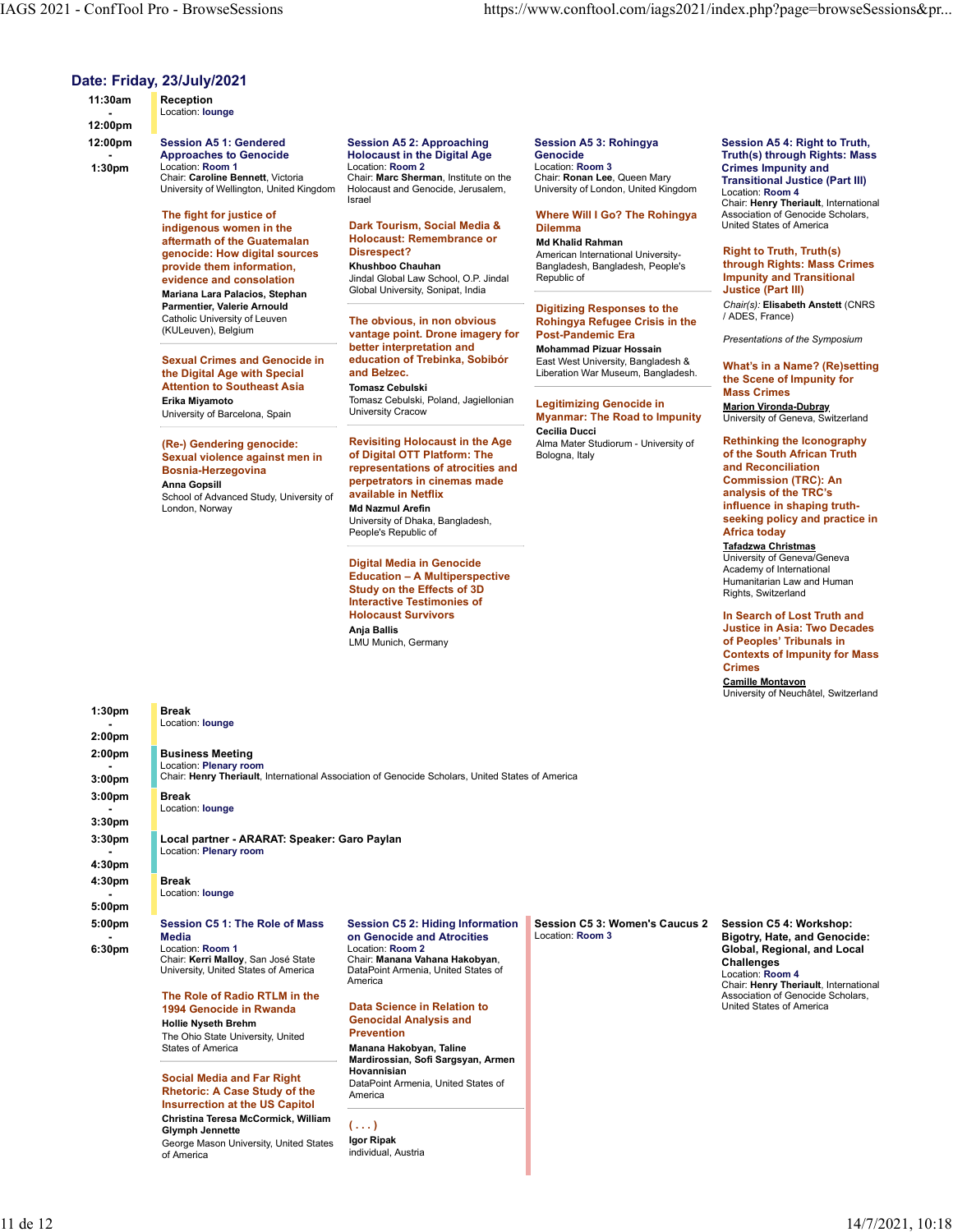| 11:30am                                                                                                            | <b>IAGS 2021 - ConfTool Pro - BrowseSessions</b><br>Date: Friday, 23/July/2021<br>Reception                                                                                                                                                                                                                                                                                                                                                                                                                                                                                                                                                                                                                                                                                                                                                 |                                                                                                                                                                                                                                                                                                                                                                                                                                                                                                                                                                                                                                                                                                                                                                                                                                                                                                                                                                                                                                                                                                             | https://www.conftool.com/iags2021/index.php?page=browseSessions≺                                                                                                                                                                                                                                                                                                                                                                                                                                                                                                                                                                                                                     |                                                                                                                                                                                                                                                                                                                                                                                                                                                                                                                                                                                                                                                                                                                                                                                                                                                                                                                                                                                                                                                                                                                                                                                                             |
|--------------------------------------------------------------------------------------------------------------------|---------------------------------------------------------------------------------------------------------------------------------------------------------------------------------------------------------------------------------------------------------------------------------------------------------------------------------------------------------------------------------------------------------------------------------------------------------------------------------------------------------------------------------------------------------------------------------------------------------------------------------------------------------------------------------------------------------------------------------------------------------------------------------------------------------------------------------------------|-------------------------------------------------------------------------------------------------------------------------------------------------------------------------------------------------------------------------------------------------------------------------------------------------------------------------------------------------------------------------------------------------------------------------------------------------------------------------------------------------------------------------------------------------------------------------------------------------------------------------------------------------------------------------------------------------------------------------------------------------------------------------------------------------------------------------------------------------------------------------------------------------------------------------------------------------------------------------------------------------------------------------------------------------------------------------------------------------------------|--------------------------------------------------------------------------------------------------------------------------------------------------------------------------------------------------------------------------------------------------------------------------------------------------------------------------------------------------------------------------------------------------------------------------------------------------------------------------------------------------------------------------------------------------------------------------------------------------------------------------------------------------------------------------------------|-------------------------------------------------------------------------------------------------------------------------------------------------------------------------------------------------------------------------------------------------------------------------------------------------------------------------------------------------------------------------------------------------------------------------------------------------------------------------------------------------------------------------------------------------------------------------------------------------------------------------------------------------------------------------------------------------------------------------------------------------------------------------------------------------------------------------------------------------------------------------------------------------------------------------------------------------------------------------------------------------------------------------------------------------------------------------------------------------------------------------------------------------------------------------------------------------------------|
| $\blacksquare$<br>12:00pm<br>12:00pm<br>1:30pm                                                                     | Location: lounge<br><b>Session A5 1: Gendered</b><br><b>Approaches to Genocide</b><br>Location: Room 1<br>Chair: Caroline Bennett, Victoria<br>University of Wellington, United Kingdom<br>The fight for justice of<br>indigenous women in the<br>aftermath of the Guatemalan<br>genocide: How digital sources<br>provide them information,<br>evidence and consolation<br>Mariana Lara Palacios, Stephan<br>Parmentier, Valerie Arnould<br>Catholic University of Leuven<br>(KULeuven), Belgium<br><b>Sexual Crimes and Genocide in</b><br>the Digital Age with Special<br><b>Attention to Southeast Asia</b><br>Erika Miyamoto<br>University of Barcelona, Spain<br>(Re-) Gendering genocide:<br>Sexual violence against men in<br>Bosnia-Herzegovina<br><b>Anna Gopsill</b><br>School of Advanced Study, University of<br>London, Norway | <b>Session A5 2: Approaching</b><br><b>Holocaust in the Digital Age</b><br>Location: Room 2<br>Chair: Marc Sherman, Institute on the<br>Holocaust and Genocide, Jerusalem,<br>Israel<br>Dark Tourism, Social Media &<br><b>Holocaust: Remembrance or</b><br>Disrespect?<br>Khushboo Chauhan<br>Jindal Global Law School, O.P. Jindal<br>Global University, Sonipat, India<br>The obvious, in non obvious<br>vantage point. Drone imagery for<br>better interpretation and<br>education of Trebinka, Sobibór<br>and Belzec.<br><b>Tomasz Cebulski</b><br>Tomasz Cebulski, Poland, Jagiellonian<br>University Cracow<br><b>Revisiting Holocaust in the Age</b><br>of Digital OTT Platform: The<br>representations of atrocities and<br>perpetrators in cinemas made<br>available in Netflix<br><b>Md Nazmul Arefin</b><br>University of Dhaka, Bangladesh,<br>People's Republic of<br><b>Digital Media in Genocide</b><br><b>Education - A Multiperspective</b><br><b>Study on the Effects of 3D</b><br><b>Interactive Testimonies of</b><br><b>Holocaust Survivors</b><br>Anja Ballis<br>LMU Munich, Germany | Session A5 3: Rohingya<br>Genocide<br>Location: Room 3<br>Chair: Ronan Lee, Queen Mary<br>University of London, United Kingdom<br>Where Will I Go? The Rohingya<br><b>Dilemma</b><br><b>Md Khalid Rahman</b><br>American International University-<br>Bangladesh, Bangladesh, People's<br>Republic of<br><b>Digitizing Responses to the</b><br>Rohingya Refugee Crisis in the<br><b>Post-Pandemic Era</b><br><b>Mohammad Pizuar Hossain</b><br>East West University, Bangladesh &<br>Liberation War Museum, Bangladesh.<br><b>Legitimizing Genocide in</b><br><b>Myanmar: The Road to Impunity</b><br><b>Cecilia Ducci</b><br>Alma Mater Studiorum - University of<br>Bologna, Italy | Session A5 4: Right to Truth,<br>Truth(s) through Rights: Mass<br><b>Crimes Impunity and</b><br><b>Transitional Justice (Part III)</b><br>Location: Room 4<br>Chair: Henry Theriault, International<br>Association of Genocide Scholars,<br>United States of America<br><b>Right to Truth, Truth(s)</b><br>through Rights: Mass Crimes<br><b>Impunity and Transitional</b><br><b>Justice (Part III)</b><br>Chair(s): Elisabeth Anstett (CNRS<br>/ ADES, France)<br>Presentations of the Symposium<br>What's in a Name? (Re)setting<br>the Scene of Impunity for<br><b>Mass Crimes</b><br><b>Marion Vironda-Dubray</b><br>University of Geneva, Switzerland<br><b>Rethinking the Iconography</b><br>of the South African Truth<br>and Reconciliation<br><b>Commission (TRC): An</b><br>analysis of the TRC's<br>influence in shaping truth-<br>seeking policy and practice in<br><b>Africa today</b><br><b>Tafadzwa Christmas</b><br>University of Geneva/Geneva<br>Academy of International<br>Humanitarian Law and Human<br>Rights, Switzerland<br>In Search of Lost Truth and<br><b>Justice in Asia: Two Decades</b><br>of Peoples' Tribunals in<br><b>Contexts of Impunity for Mass</b><br><b>Crimes</b> |
| 1:30pm<br>2:00 <sub>pm</sub><br>2:00 <sub>pm</sub><br>3:00pm<br>3:00 <sub>pm</sub><br>3:30pm<br>3:30 <sub>pm</sub> | <b>Break</b><br>Location: lounge<br><b>Business Meeting</b><br>Location: Plenary room<br><b>Break</b><br>Location: lounge<br>Local partner - ARARAT: Speaker: Garo Paylan                                                                                                                                                                                                                                                                                                                                                                                                                                                                                                                                                                                                                                                                   | Chair: Henry Theriault, International Association of Genocide Scholars, United States of America                                                                                                                                                                                                                                                                                                                                                                                                                                                                                                                                                                                                                                                                                                                                                                                                                                                                                                                                                                                                            |                                                                                                                                                                                                                                                                                                                                                                                                                                                                                                                                                                                                                                                                                      | <b>Camille Montavon</b><br>University of Neuchâtel, Switzerland                                                                                                                                                                                                                                                                                                                                                                                                                                                                                                                                                                                                                                                                                                                                                                                                                                                                                                                                                                                                                                                                                                                                             |
| 4:30pm<br>4:30pm<br>5:00pm<br>5:00pm<br>6:30pm                                                                     | Location: Plenary room<br>Break<br>Location: lounge<br>Session C5 1: The Role of Mass<br>Media<br>Location: Room 1                                                                                                                                                                                                                                                                                                                                                                                                                                                                                                                                                                                                                                                                                                                          | <b>Session C5 2: Hiding Information</b><br>on Genocide and Atrocities<br>Location: Room 2                                                                                                                                                                                                                                                                                                                                                                                                                                                                                                                                                                                                                                                                                                                                                                                                                                                                                                                                                                                                                   | Session C5 3: Women's Caucus 2 Session C5 4: Workshop:<br>Location: Room 3                                                                                                                                                                                                                                                                                                                                                                                                                                                                                                                                                                                                           | <b>Bigotry, Hate, and Genocide:</b><br>Global, Regional, and Local                                                                                                                                                                                                                                                                                                                                                                                                                                                                                                                                                                                                                                                                                                                                                                                                                                                                                                                                                                                                                                                                                                                                          |
|                                                                                                                    | Chair: Kerri Malloy, San José State<br>University, United States of America<br>The Role of Radio RTLM in the<br>1994 Genocide in Rwanda<br><b>Hollie Nyseth Brehm</b><br>The Ohio State University, United<br><b>States of America</b>                                                                                                                                                                                                                                                                                                                                                                                                                                                                                                                                                                                                      | Chair: Manana Vahana Hakobyan,<br>DataPoint Armenia, United States of<br>America<br>Data Science in Relation to<br><b>Genocidal Analysis and</b><br><b>Prevention</b><br>Manana Hakobyan, Taline                                                                                                                                                                                                                                                                                                                                                                                                                                                                                                                                                                                                                                                                                                                                                                                                                                                                                                            |                                                                                                                                                                                                                                                                                                                                                                                                                                                                                                                                                                                                                                                                                      | <b>Challenges</b><br>Location: Room 4<br>Chair: Henry Theriault, International<br>Association of Genocide Scholars,<br>United States of America                                                                                                                                                                                                                                                                                                                                                                                                                                                                                                                                                                                                                                                                                                                                                                                                                                                                                                                                                                                                                                                             |

Social Media and Far Right

Rhetoric: A Case Study of the America Constitution of the America

America  $( \ldots )$ Igor Ripak individual, Austria

Hovannisian

George Mason University, United States **Igor Ripak**<br>of America individual, Austria

Christina Teresa McCormick, William Glymph Jennette

DataPoint Armenia, United States of

Insurrection at the US Capitol **Example 20** Insurrection at the US Capitol